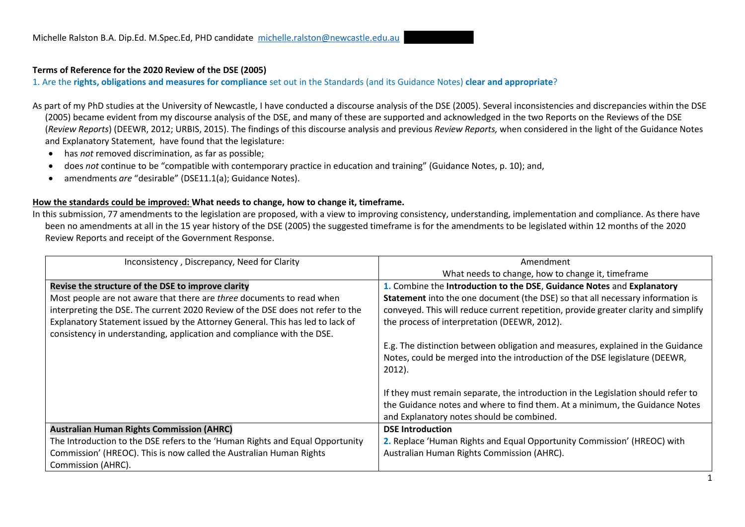# **Terms of Reference for the 2020 Review of the DSE (2005)**

1. Are the **rights, obligations and measures for compliance** set out in the Standards (and its Guidance Notes) **clear and appropriate**?

As part of my PhD studies at the University of Newcastle, I have conducted a discourse analysis of the DSE (2005). Several inconsistencies and discrepancies within the DSE (2005) became evident from my discourse analysis of the DSE, and many of these are supported and acknowledged in the two Reports on the Reviews of the DSE (*Review Reports*) (DEEWR, 2012; URBIS, 2015). The findings of this discourse analysis and previous *Review Reports,* when considered in the light of the Guidance Notes and Explanatory Statement, have found that the legislature:

- has *not* removed discrimination, as far as possible;
- does *not* continue to be "compatible with contemporary practice in education and training" (Guidance Notes, p. 10); and,
- amendments *are* "desirable" (DSE11.1(a); Guidance Notes).

# **How the standards could be improved: What needs to change, how to change it, timeframe.**

In this submission, 77 amendments to the legislation are proposed, with a view to improving consistency, understanding, implementation and compliance. As there have been no amendments at all in the 15 year history of the DSE (2005) the suggested timeframe is for the amendments to be legislated within 12 months of the 2020 Review Reports and receipt of the Government Response.

| Inconsistency, Discrepancy, Need for Clarity                                                                                                            | Amendment                                                                           |
|---------------------------------------------------------------------------------------------------------------------------------------------------------|-------------------------------------------------------------------------------------|
|                                                                                                                                                         | What needs to change, how to change it, timeframe                                   |
| Revise the structure of the DSE to improve clarity                                                                                                      | 1. Combine the Introduction to the DSE, Guidance Notes and Explanatory              |
| Most people are not aware that there are three documents to read when                                                                                   | Statement into the one document (the DSE) so that all necessary information is      |
| interpreting the DSE. The current 2020 Review of the DSE does not refer to the                                                                          | conveyed. This will reduce current repetition, provide greater clarity and simplify |
| Explanatory Statement issued by the Attorney General. This has led to lack of<br>consistency in understanding, application and compliance with the DSE. | the process of interpretation (DEEWR, 2012).                                        |
|                                                                                                                                                         | E.g. The distinction between obligation and measures, explained in the Guidance     |
|                                                                                                                                                         | Notes, could be merged into the introduction of the DSE legislature (DEEWR,         |
|                                                                                                                                                         | $2012$ ).                                                                           |
|                                                                                                                                                         |                                                                                     |
|                                                                                                                                                         | If they must remain separate, the introduction in the Legislation should refer to   |
|                                                                                                                                                         | the Guidance notes and where to find them. At a minimum, the Guidance Notes         |
|                                                                                                                                                         | and Explanatory notes should be combined.                                           |
| <b>Australian Human Rights Commission (AHRC)</b>                                                                                                        | <b>DSE Introduction</b>                                                             |
| The Introduction to the DSE refers to the 'Human Rights and Equal Opportunity                                                                           | 2. Replace 'Human Rights and Equal Opportunity Commission' (HREOC) with             |
| Commission' (HREOC). This is now called the Australian Human Rights                                                                                     | Australian Human Rights Commission (AHRC).                                          |
| Commission (AHRC).                                                                                                                                      |                                                                                     |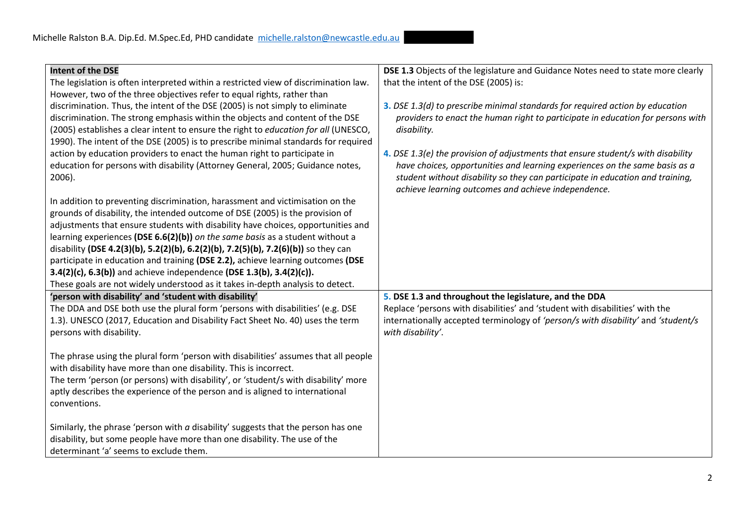| Intent of the DSE<br>The legislation is often interpreted within a restricted view of discrimination law.<br>However, two of the three objectives refer to equal rights, rather than<br>discrimination. Thus, the intent of the DSE (2005) is not simply to eliminate<br>discrimination. The strong emphasis within the objects and content of the DSE<br>(2005) establishes a clear intent to ensure the right to education for all (UNESCO,<br>1990). The intent of the DSE (2005) is to prescribe minimal standards for required<br>action by education providers to enact the human right to participate in<br>education for persons with disability (Attorney General, 2005; Guidance notes,<br>2006).<br>In addition to preventing discrimination, harassment and victimisation on the<br>grounds of disability, the intended outcome of DSE (2005) is the provision of | <b>DSE 1.3</b> Objects of the legislature and Guidance Notes need to state more clearly<br>that the intent of the DSE (2005) is:<br>3. DSE 1.3(d) to prescribe minimal standards for required action by education<br>providers to enact the human right to participate in education for persons with<br>disability.<br>4. DSE 1.3(e) the provision of adjustments that ensure student/s with disability<br>have choices, opportunities and learning experiences on the same basis as a<br>student without disability so they can participate in education and training,<br>achieve learning outcomes and achieve independence. |
|-------------------------------------------------------------------------------------------------------------------------------------------------------------------------------------------------------------------------------------------------------------------------------------------------------------------------------------------------------------------------------------------------------------------------------------------------------------------------------------------------------------------------------------------------------------------------------------------------------------------------------------------------------------------------------------------------------------------------------------------------------------------------------------------------------------------------------------------------------------------------------|--------------------------------------------------------------------------------------------------------------------------------------------------------------------------------------------------------------------------------------------------------------------------------------------------------------------------------------------------------------------------------------------------------------------------------------------------------------------------------------------------------------------------------------------------------------------------------------------------------------------------------|
| adjustments that ensure students with disability have choices, opportunities and<br>learning experiences (DSE 6.6(2)(b)) on the same basis as a student without a<br>disability (DSE 4.2(3)(b), 5.2(2)(b), 6.2(2)(b), 7.2(5)(b), 7.2(6)(b)) so they can<br>participate in education and training (DSE 2.2), achieve learning outcomes (DSE<br>3.4(2)(c), 6.3(b)) and achieve independence (DSE 1.3(b), 3.4(2)(c)).<br>These goals are not widely understood as it takes in-depth analysis to detect.                                                                                                                                                                                                                                                                                                                                                                          |                                                                                                                                                                                                                                                                                                                                                                                                                                                                                                                                                                                                                                |
| 'person with disability' and 'student with disability'<br>The DDA and DSE both use the plural form 'persons with disabilities' (e.g. DSE                                                                                                                                                                                                                                                                                                                                                                                                                                                                                                                                                                                                                                                                                                                                      | 5. DSE 1.3 and throughout the legislature, and the DDA                                                                                                                                                                                                                                                                                                                                                                                                                                                                                                                                                                         |
| 1.3). UNESCO (2017, Education and Disability Fact Sheet No. 40) uses the term<br>persons with disability.                                                                                                                                                                                                                                                                                                                                                                                                                                                                                                                                                                                                                                                                                                                                                                     | Replace 'persons with disabilities' and 'student with disabilities' with the<br>internationally accepted terminology of 'person/s with disability' and 'student/s<br>with disability'.                                                                                                                                                                                                                                                                                                                                                                                                                                         |
| The phrase using the plural form 'person with disabilities' assumes that all people<br>with disability have more than one disability. This is incorrect.<br>The term 'person (or persons) with disability', or 'student/s with disability' more<br>aptly describes the experience of the person and is aligned to international<br>conventions.                                                                                                                                                                                                                                                                                                                                                                                                                                                                                                                               |                                                                                                                                                                                                                                                                                                                                                                                                                                                                                                                                                                                                                                |
| Similarly, the phrase 'person with a disability' suggests that the person has one<br>disability, but some people have more than one disability. The use of the<br>determinant 'a' seems to exclude them.                                                                                                                                                                                                                                                                                                                                                                                                                                                                                                                                                                                                                                                                      |                                                                                                                                                                                                                                                                                                                                                                                                                                                                                                                                                                                                                                |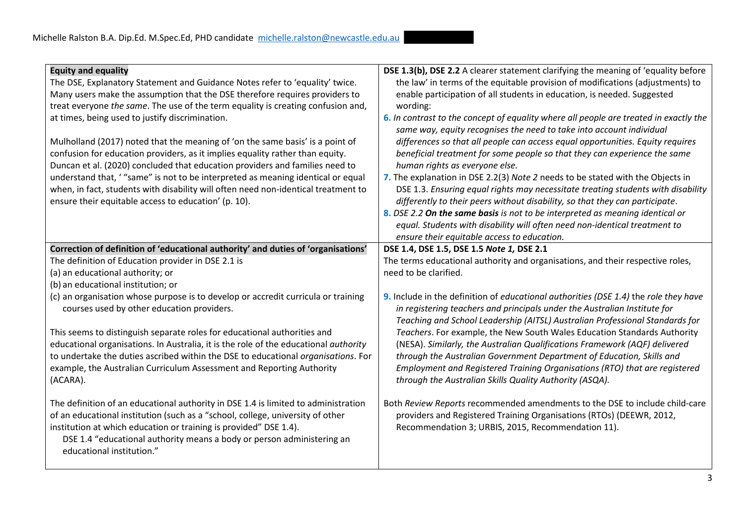| <b>Equity and equality</b>                                                           | DSE 1.3(b), DSE 2.2 A clearer statement clarifying the meaning of 'equality before                                                                            |
|--------------------------------------------------------------------------------------|---------------------------------------------------------------------------------------------------------------------------------------------------------------|
| The DSE, Explanatory Statement and Guidance Notes refer to 'equality' twice.         | the law' in terms of the equitable provision of modifications (adjustments) to                                                                                |
| Many users make the assumption that the DSE therefore requires providers to          | enable participation of all students in education, is needed. Suggested                                                                                       |
| treat everyone the same. The use of the term equality is creating confusion and,     | wording:                                                                                                                                                      |
| at times, being used to justify discrimination.                                      | 6. In contrast to the concept of equality where all people are treated in exactly the<br>same way, equity recognises the need to take into account individual |
| Mulholland (2017) noted that the meaning of 'on the same basis' is a point of        | differences so that all people can access equal opportunities. Equity requires                                                                                |
| confusion for education providers, as it implies equality rather than equity.        | beneficial treatment for some people so that they can experience the same                                                                                     |
| Duncan et al. (2020) concluded that education providers and families need to         | human rights as everyone else.                                                                                                                                |
| understand that, '"same" is not to be interpreted as meaning identical or equal      | 7. The explanation in DSE 2.2(3) Note 2 needs to be stated with the Objects in                                                                                |
| when, in fact, students with disability will often need non-identical treatment to   | DSE 1.3. Ensuring equal rights may necessitate treating students with disability                                                                              |
| ensure their equitable access to education' (p. 10).                                 | differently to their peers without disability, so that they can participate.                                                                                  |
|                                                                                      | 8. DSE 2.2 On the same basis is not to be interpreted as meaning identical or                                                                                 |
|                                                                                      | equal. Students with disability will often need non-identical treatment to                                                                                    |
|                                                                                      | ensure their equitable access to education.                                                                                                                   |
| Correction of definition of 'educational authority' and duties of 'organisations'    | DSE 1.4, DSE 1.5, DSE 1.5 Note 1, DSE 2.1                                                                                                                     |
| The definition of Education provider in DSE 2.1 is                                   | The terms educational authority and organisations, and their respective roles,                                                                                |
| (a) an educational authority; or                                                     | need to be clarified.                                                                                                                                         |
| (b) an educational institution; or                                                   |                                                                                                                                                               |
| (c) an organisation whose purpose is to develop or accredit curricula or training    | 9. Include in the definition of educational authorities (DSE 1.4) the role they have                                                                          |
| courses used by other education providers.                                           | in registering teachers and principals under the Australian Institute for                                                                                     |
|                                                                                      | Teaching and School Leadership (AITSL) Australian Professional Standards for                                                                                  |
| This seems to distinguish separate roles for educational authorities and             | Teachers. For example, the New South Wales Education Standards Authority                                                                                      |
| educational organisations. In Australia, it is the role of the educational authority | (NESA). Similarly, the Australian Qualifications Framework (AQF) delivered                                                                                    |
| to undertake the duties ascribed within the DSE to educational organisations. For    | through the Australian Government Department of Education, Skills and                                                                                         |
| example, the Australian Curriculum Assessment and Reporting Authority                | Employment and Registered Training Organisations (RTO) that are registered                                                                                    |
| (ACARA).                                                                             | through the Australian Skills Quality Authority (ASQA).                                                                                                       |
| The definition of an educational authority in DSE 1.4 is limited to administration   | Both Review Reports recommended amendments to the DSE to include child-care                                                                                   |
| of an educational institution (such as a "school, college, university of other       | providers and Registered Training Organisations (RTOs) (DEEWR, 2012,                                                                                          |
| institution at which education or training is provided" DSE 1.4).                    | Recommendation 3; URBIS, 2015, Recommendation 11).                                                                                                            |
| DSE 1.4 "educational authority means a body or person administering an               |                                                                                                                                                               |
| educational institution."                                                            |                                                                                                                                                               |
|                                                                                      |                                                                                                                                                               |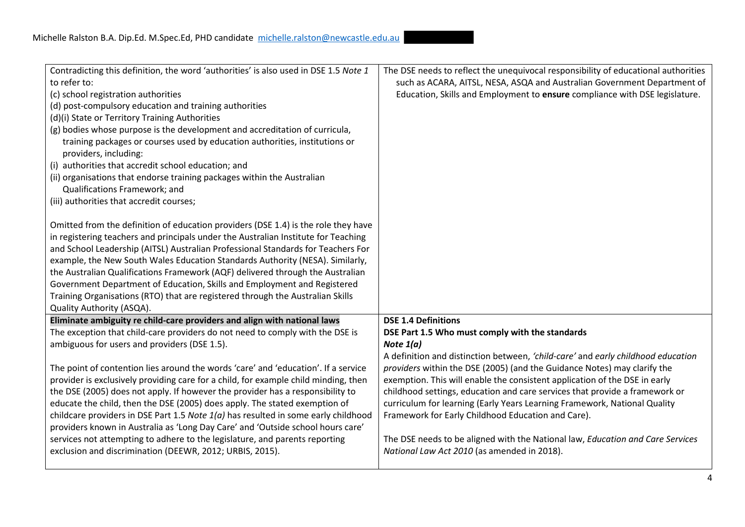| Contradicting this definition, the word 'authorities' is also used in DSE 1.5 Note 1<br>to refer to:<br>(c) school registration authorities<br>(d) post-compulsory education and training authorities<br>(d)(i) State or Territory Training Authorities<br>(g) bodies whose purpose is the development and accreditation of curricula,<br>training packages or courses used by education authorities, institutions or<br>providers, including:<br>(i) authorities that accredit school education; and<br>(ii) organisations that endorse training packages within the Australian<br>Qualifications Framework; and<br>(iii) authorities that accredit courses;<br>Omitted from the definition of education providers (DSE 1.4) is the role they have<br>in registering teachers and principals under the Australian Institute for Teaching<br>and School Leadership (AITSL) Australian Professional Standards for Teachers For<br>example, the New South Wales Education Standards Authority (NESA). Similarly, | The DSE needs to reflect the unequivocal responsibility of educational authorities<br>such as ACARA, AITSL, NESA, ASQA and Australian Government Department of<br>Education, Skills and Employment to ensure compliance with DSE legislature.                                                                                                                                                                                                                                                                                                                                                 |
|----------------------------------------------------------------------------------------------------------------------------------------------------------------------------------------------------------------------------------------------------------------------------------------------------------------------------------------------------------------------------------------------------------------------------------------------------------------------------------------------------------------------------------------------------------------------------------------------------------------------------------------------------------------------------------------------------------------------------------------------------------------------------------------------------------------------------------------------------------------------------------------------------------------------------------------------------------------------------------------------------------------|-----------------------------------------------------------------------------------------------------------------------------------------------------------------------------------------------------------------------------------------------------------------------------------------------------------------------------------------------------------------------------------------------------------------------------------------------------------------------------------------------------------------------------------------------------------------------------------------------|
| the Australian Qualifications Framework (AQF) delivered through the Australian<br>Government Department of Education, Skills and Employment and Registered<br>Training Organisations (RTO) that are registered through the Australian Skills<br>Quality Authority (ASQA).                                                                                                                                                                                                                                                                                                                                                                                                                                                                                                                                                                                                                                                                                                                                      |                                                                                                                                                                                                                                                                                                                                                                                                                                                                                                                                                                                               |
| Eliminate ambiguity re child-care providers and align with national laws                                                                                                                                                                                                                                                                                                                                                                                                                                                                                                                                                                                                                                                                                                                                                                                                                                                                                                                                       | <b>DSE 1.4 Definitions</b>                                                                                                                                                                                                                                                                                                                                                                                                                                                                                                                                                                    |
| The exception that child-care providers do not need to comply with the DSE is                                                                                                                                                                                                                                                                                                                                                                                                                                                                                                                                                                                                                                                                                                                                                                                                                                                                                                                                  | DSE Part 1.5 Who must comply with the standards                                                                                                                                                                                                                                                                                                                                                                                                                                                                                                                                               |
| ambiguous for users and providers (DSE 1.5).                                                                                                                                                                                                                                                                                                                                                                                                                                                                                                                                                                                                                                                                                                                                                                                                                                                                                                                                                                   | Note $1(a)$                                                                                                                                                                                                                                                                                                                                                                                                                                                                                                                                                                                   |
| The point of contention lies around the words 'care' and 'education'. If a service<br>provider is exclusively providing care for a child, for example child minding, then<br>the DSE (2005) does not apply. If however the provider has a responsibility to<br>educate the child, then the DSE (2005) does apply. The stated exemption of<br>childcare providers in DSE Part 1.5 Note $1(a)$ has resulted in some early childhood<br>providers known in Australia as 'Long Day Care' and 'Outside school hours care'<br>services not attempting to adhere to the legislature, and parents reporting<br>exclusion and discrimination (DEEWR, 2012; URBIS, 2015).                                                                                                                                                                                                                                                                                                                                                | A definition and distinction between, 'child-care' and early childhood education<br>providers within the DSE (2005) (and the Guidance Notes) may clarify the<br>exemption. This will enable the consistent application of the DSE in early<br>childhood settings, education and care services that provide a framework or<br>curriculum for learning (Early Years Learning Framework, National Quality<br>Framework for Early Childhood Education and Care).<br>The DSE needs to be aligned with the National law, Education and Care Services<br>National Law Act 2010 (as amended in 2018). |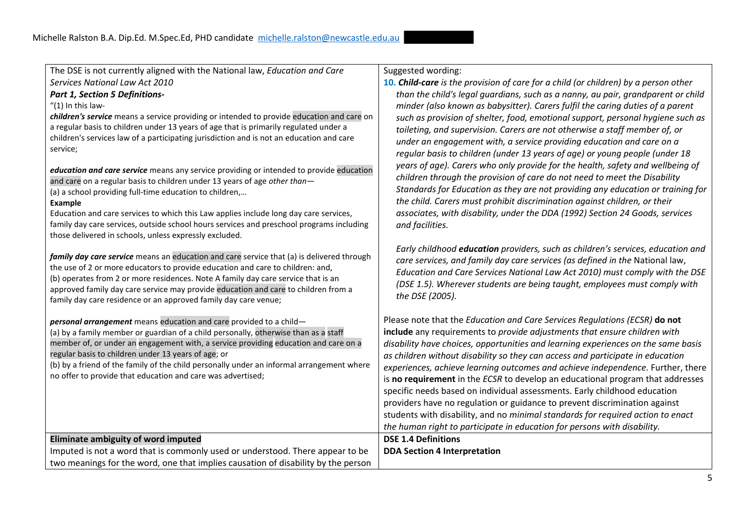The DSE is not currently aligned with the National law, *Education and Care Services National Law Act 2010*

# *Part 1, Section 5 Definitions-*

**Eliminate ambiguity of word imputed**

#### "(1) In this law-

*children's service* means a service providing or intended to provide education and care on a regular basis to children under 13 years of age that is primarily regulated under a children's services law of a participating jurisdiction and is not an education and care service;

*education and care service* means any service providing or intended to provide education and care on a regular basis to children under 13 years of age *other than*— (a) a school providing full-time education to children,…

#### **Example**

Education and care services to which this Law applies include long day care services, family day care services, outside school hours services and preschool programs including those delivered in schools, unless expressly excluded.

*family day care service* means an education and care service that (a) is delivered through the use of 2 or more educators to provide education and care to children: and, (b) operates from 2 or more residences. Note A family day care service that is an approved family day care service may provide education and care to children from a family day care residence or an approved family day care venue;

*personal arrangement* means education and care provided to a child— (a) by a family member or guardian of a child personally, otherwise than as a staff member of, or under an engagement with, a service providing education and care on a regular basis to children under 13 years of age; or

(b) by a friend of the family of the child personally under an informal arrangement where no offer to provide that education and care was advertised;

two meanings for the word, one that implies causation of disability by the person

#### Suggested wording:

**10.** *Child-care is the provision of care for a child (or children) by a person other than the child's legal guardians, such as a nanny, au pair, grandparent or child minder (also known as babysitter). Carers fulfil the caring duties of a parent such as provision of shelter, food, emotional support, personal hygiene such as toileting, and supervision. Carers are not otherwise a staff member of, or under an engagement with, a service providing education and care on a regular basis to children (under 13 years of age) or young people (under 18 years of age). Carers who only provide for the health, safety and wellbeing of children through the provision of care do not need to meet the Disability Standards for Education as they are not providing any education or training for the child. Carers must prohibit discrimination against children, or their associates, with disability, under the DDA (1992) Section 24 Goods, services and facilities.* 

*Early childhood education providers, such as children's services, education and care services, and family day care services (as defined in the* National law, *Education and Care Services National Law Act 2010) must comply with the DSE (DSE 1.5). Wherever students are being taught, employees must comply with the DSE (2005).* 

Please note that the *Education and Care Services Regulations (ECSR)* **do not include** any requirements to *provide adjustments that ensure children with disability have choices, opportunities and learning experiences on the same basis as children without disability so they can access and participate in education experiences, achieve learning outcomes and achieve independence.* Further, there is **no requirement** in the *ECSR* to develop an educational program that addresses specific needs based on individual assessments. Early childhood education providers have no regulation or guidance to prevent discrimination against students with disability, and no *minimal standards for required action to enact the human right to participate in education for persons with disability.* Imputed is not a word that is commonly used or understood. There appear to be **DSE 1.4 Definitions DDA Section 4 Interpretation**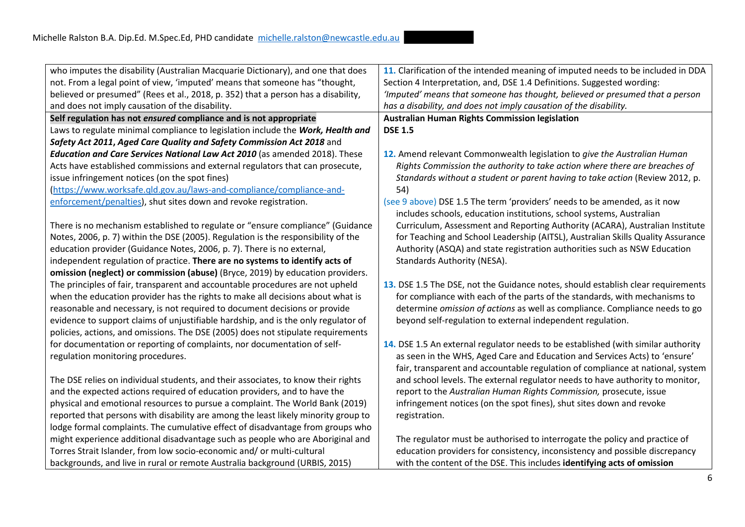| who imputes the disability (Australian Macquarie Dictionary), and one that does    | 11. Clarification of the intended meaning of imputed needs to be included in DDA  |
|------------------------------------------------------------------------------------|-----------------------------------------------------------------------------------|
| not. From a legal point of view, 'imputed' means that someone has "thought,        | Section 4 Interpretation, and, DSE 1.4 Definitions. Suggested wording:            |
| believed or presumed" (Rees et al., 2018, p. 352) that a person has a disability,  | 'Imputed' means that someone has thought, believed or presumed that a person      |
| and does not imply causation of the disability.                                    | has a disability, and does not imply causation of the disability.                 |
| Self regulation has not ensured compliance and is not appropriate                  | <b>Australian Human Rights Commission legislation</b>                             |
| Laws to regulate minimal compliance to legislation include the Work, Health and    | <b>DSE 1.5</b>                                                                    |
| Safety Act 2011, Aged Care Quality and Safety Commission Act 2018 and              |                                                                                   |
| Education and Care Services National Law Act 2010 (as amended 2018). These         | 12. Amend relevant Commonwealth legislation to give the Australian Human          |
| Acts have established commissions and external regulators that can prosecute,      | Rights Commission the authority to take action where there are breaches of        |
| issue infringement notices (on the spot fines)                                     | Standards without a student or parent having to take action (Review 2012, p.      |
| (https://www.worksafe.qld.gov.au/laws-and-compliance/compliance-and-               | 54)                                                                               |
| enforcement/penalties), shut sites down and revoke registration.                   | (see 9 above) DSE 1.5 The term 'providers' needs to be amended, as it now         |
|                                                                                    | includes schools, education institutions, school systems, Australian              |
| There is no mechanism established to regulate or "ensure compliance" (Guidance     | Curriculum, Assessment and Reporting Authority (ACARA), Australian Institute      |
| Notes, 2006, p. 7) within the DSE (2005). Regulation is the responsibility of the  | for Teaching and School Leadership (AITSL), Australian Skills Quality Assurance   |
| education provider (Guidance Notes, 2006, p. 7). There is no external,             | Authority (ASQA) and state registration authorities such as NSW Education         |
| independent regulation of practice. There are no systems to identify acts of       | Standards Authority (NESA).                                                       |
| omission (neglect) or commission (abuse) (Bryce, 2019) by education providers.     |                                                                                   |
| The principles of fair, transparent and accountable procedures are not upheld      | 13. DSE 1.5 The DSE, not the Guidance notes, should establish clear requirements  |
| when the education provider has the rights to make all decisions about what is     | for compliance with each of the parts of the standards, with mechanisms to        |
| reasonable and necessary, is not required to document decisions or provide         | determine omission of actions as well as compliance. Compliance needs to go       |
| evidence to support claims of unjustifiable hardship, and is the only regulator of | beyond self-regulation to external independent regulation.                        |
| policies, actions, and omissions. The DSE (2005) does not stipulate requirements   |                                                                                   |
| for documentation or reporting of complaints, nor documentation of self-           | 14. DSE 1.5 An external regulator needs to be established (with similar authority |
| regulation monitoring procedures.                                                  | as seen in the WHS, Aged Care and Education and Services Acts) to 'ensure'        |
|                                                                                    | fair, transparent and accountable regulation of compliance at national, system    |
| The DSE relies on individual students, and their associates, to know their rights  | and school levels. The external regulator needs to have authority to monitor,     |
| and the expected actions required of education providers, and to have the          | report to the Australian Human Rights Commission, prosecute, issue                |
| physical and emotional resources to pursue a complaint. The World Bank (2019)      | infringement notices (on the spot fines), shut sites down and revoke              |
| reported that persons with disability are among the least likely minority group to | registration.                                                                     |
| lodge formal complaints. The cumulative effect of disadvantage from groups who     |                                                                                   |
| might experience additional disadvantage such as people who are Aboriginal and     | The regulator must be authorised to interrogate the policy and practice of        |
| Torres Strait Islander, from low socio-economic and/ or multi-cultural             | education providers for consistency, inconsistency and possible discrepancy       |
| backgrounds, and live in rural or remote Australia background (URBIS, 2015)        | with the content of the DSE. This includes identifying acts of omission           |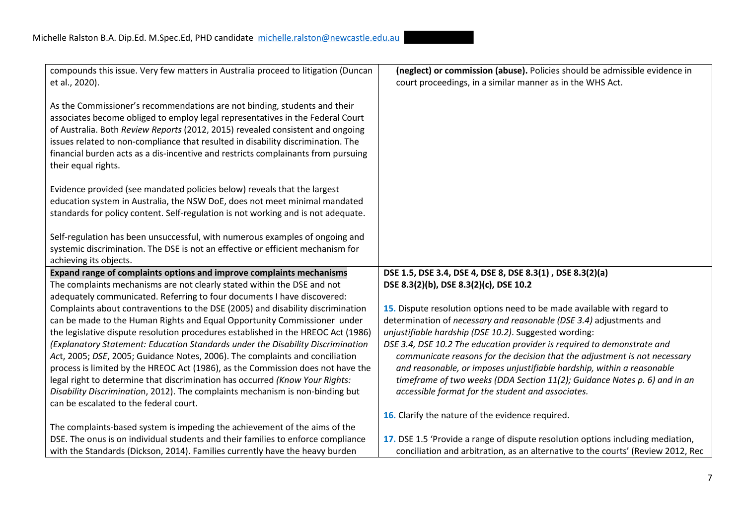| compounds this issue. Very few matters in Australia proceed to litigation (Duncan<br>et al., 2020).                                                                                                                                                                                                                                                                                                                                                           | (neglect) or commission (abuse). Policies should be admissible evidence in<br>court proceedings, in a similar manner as in the WHS Act.                                                                                                                                                                                                                          |
|---------------------------------------------------------------------------------------------------------------------------------------------------------------------------------------------------------------------------------------------------------------------------------------------------------------------------------------------------------------------------------------------------------------------------------------------------------------|------------------------------------------------------------------------------------------------------------------------------------------------------------------------------------------------------------------------------------------------------------------------------------------------------------------------------------------------------------------|
| As the Commissioner's recommendations are not binding, students and their<br>associates become obliged to employ legal representatives in the Federal Court<br>of Australia. Both Review Reports (2012, 2015) revealed consistent and ongoing<br>issues related to non-compliance that resulted in disability discrimination. The<br>financial burden acts as a dis-incentive and restricts complainants from pursuing<br>their equal rights.                 |                                                                                                                                                                                                                                                                                                                                                                  |
| Evidence provided (see mandated policies below) reveals that the largest<br>education system in Australia, the NSW DoE, does not meet minimal mandated<br>standards for policy content. Self-regulation is not working and is not adequate.                                                                                                                                                                                                                   |                                                                                                                                                                                                                                                                                                                                                                  |
| Self-regulation has been unsuccessful, with numerous examples of ongoing and<br>systemic discrimination. The DSE is not an effective or efficient mechanism for<br>achieving its objects.                                                                                                                                                                                                                                                                     |                                                                                                                                                                                                                                                                                                                                                                  |
| Expand range of complaints options and improve complaints mechanisms<br>The complaints mechanisms are not clearly stated within the DSE and not                                                                                                                                                                                                                                                                                                               | DSE 1.5, DSE 3.4, DSE 4, DSE 8, DSE 8.3(1), DSE 8.3(2)(a)<br>DSE 8.3(2)(b), DSE 8.3(2)(c), DSE 10.2                                                                                                                                                                                                                                                              |
| adequately communicated. Referring to four documents I have discovered:                                                                                                                                                                                                                                                                                                                                                                                       |                                                                                                                                                                                                                                                                                                                                                                  |
| Complaints about contraventions to the DSE (2005) and disability discrimination<br>can be made to the Human Rights and Equal Opportunity Commissioner under                                                                                                                                                                                                                                                                                                   | 15. Dispute resolution options need to be made available with regard to<br>determination of necessary and reasonable (DSE 3.4) adjustments and                                                                                                                                                                                                                   |
| the legislative dispute resolution procedures established in the HREOC Act (1986)                                                                                                                                                                                                                                                                                                                                                                             | unjustifiable hardship (DSE 10.2). Suggested wording:                                                                                                                                                                                                                                                                                                            |
| (Explanatory Statement: Education Standards under the Disability Discrimination<br>Act, 2005; DSE, 2005; Guidance Notes, 2006). The complaints and conciliation<br>process is limited by the HREOC Act (1986), as the Commission does not have the<br>legal right to determine that discrimination has occurred (Know Your Rights:<br>Disability Discrimination, 2012). The complaints mechanism is non-binding but<br>can be escalated to the federal court. | DSE 3.4, DSE 10.2 The education provider is required to demonstrate and<br>communicate reasons for the decision that the adjustment is not necessary<br>and reasonable, or imposes unjustifiable hardship, within a reasonable<br>timeframe of two weeks (DDA Section 11(2); Guidance Notes p. 6) and in an<br>accessible format for the student and associates. |
| The complaints-based system is impeding the achievement of the aims of the                                                                                                                                                                                                                                                                                                                                                                                    | 16. Clarify the nature of the evidence required.                                                                                                                                                                                                                                                                                                                 |
| DSE. The onus is on individual students and their families to enforce compliance                                                                                                                                                                                                                                                                                                                                                                              | 17. DSE 1.5 'Provide a range of dispute resolution options including mediation,                                                                                                                                                                                                                                                                                  |
| with the Standards (Dickson, 2014). Families currently have the heavy burden                                                                                                                                                                                                                                                                                                                                                                                  | conciliation and arbitration, as an alternative to the courts' (Review 2012, Rec                                                                                                                                                                                                                                                                                 |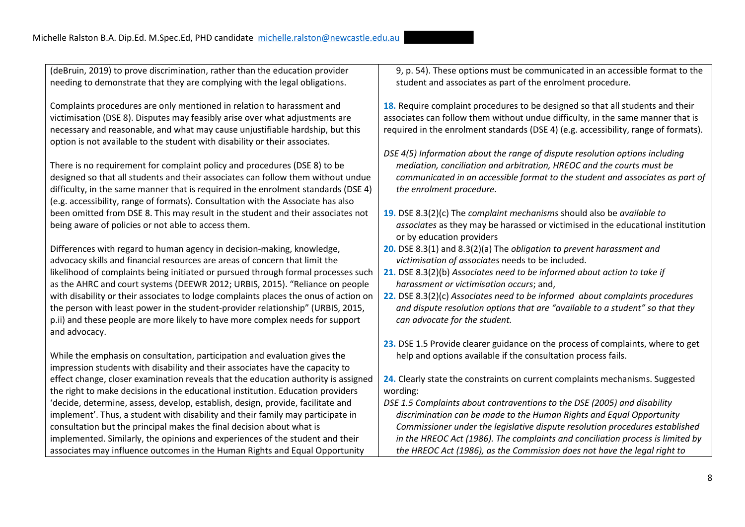(deBruin, 2019) to prove discrimination, rather than the education provider needing to demonstrate that they are complying with the legal obligations.

Complaints procedures are only mentioned in relation to harassment and victimisation (DSE 8). Disputes may feasibly arise over what adjustments are necessary and reasonable, and what may cause unjustifiable hardship, but this option is not available to the student with disability or their associates.

There is no requirement for complaint policy and procedures (DSE 8) to be designed so that all students and their associates can follow them without undue difficulty, in the same manner that is required in the enrolment standards (DSE 4) (e.g. accessibility, range of formats). Consultation with the Associate has also been omitted from DSE 8. This may result in the student and their associates not being aware of policies or not able to access them.

Differences with regard to human agency in decision-making, knowledge, advocacy skills and financial resources are areas of concern that limit the likelihood of complaints being initiated or pursued through formal processes such as the AHRC and court systems (DEEWR 2012; URBIS, 2015). "Reliance on people with disability or their associates to lodge complaints places the onus of action on the person with least power in the student-provider relationship" (URBIS, 2015, p.ii) and these people are more likely to have more complex needs for support and advocacy.

While the emphasis on consultation, participation and evaluation gives the impression students with disability and their associates have the capacity to effect change, closer examination reveals that the education authority is assigned the right to make decisions in the educational institution. Education providers 'decide, determine, assess, develop, establish, design, provide, facilitate and implement'. Thus, a student with disability and their family may participate in consultation but the principal makes the final decision about what is implemented. Similarly, the opinions and experiences of the student and their associates may influence outcomes in the Human Rights and Equal Opportunity

9, p. 54). These options must be communicated in an accessible format to the student and associates as part of the enrolment procedure.

**18.** Require complaint procedures to be designed so that all students and their associates can follow them without undue difficulty, in the same manner that is required in the enrolment standards (DSE 4) (e.g. accessibility, range of formats).

- *DSE 4(5) Information about the range of dispute resolution options including mediation, conciliation and arbitration, HREOC and the courts must be communicated in an accessible format to the student and associates as part of the enrolment procedure.*
- **19.** DSE 8.3(2)(c) The *complaint mechanisms* should also be *available to associates* as they may be harassed or victimised in the educational institution or by education providers
- **20.** DSE 8.3(1) and 8.3(2)(a) The *obligation to prevent harassment and victimisation of associates* needs to be included.
- **21.** DSE 8.3(2)(b) *Associates need to be informed about action to take if harassment or victimisation occurs*; and,
- **22.** DSE 8.3(2)(c) *Associates need to be informed about complaints procedures and dispute resolution options that are "available to a student" so that they can advocate for the student.*
- **23.** DSE 1.5 Provide clearer guidance on the process of complaints, where to get help and options available if the consultation process fails.
- **24.** Clearly state the constraints on current complaints mechanisms. Suggested wording:
- *DSE 1.5 Complaints about contraventions to the DSE (2005) and disability discrimination can be made to the Human Rights and Equal Opportunity Commissioner under the legislative dispute resolution procedures established in the HREOC Act (1986). The complaints and conciliation process is limited by the HREOC Act (1986), as the Commission does not have the legal right to*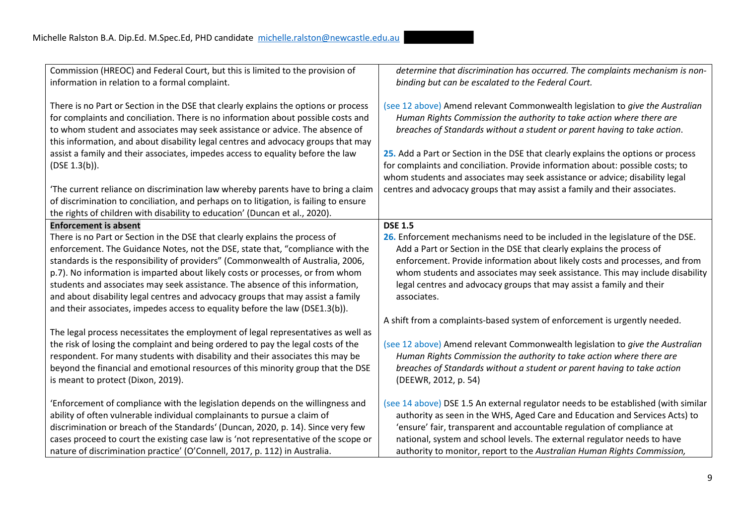| Commission (HREOC) and Federal Court, but this is limited to the provision of                                                                                                                                                                                                                                                                                                                                                                                                                                                                                                                                                                                                                                    | determine that discrimination has occurred. The complaints mechanism is non-                                                                                                                                                                                                                                                                                                                                                                                                                                                                                           |
|------------------------------------------------------------------------------------------------------------------------------------------------------------------------------------------------------------------------------------------------------------------------------------------------------------------------------------------------------------------------------------------------------------------------------------------------------------------------------------------------------------------------------------------------------------------------------------------------------------------------------------------------------------------------------------------------------------------|------------------------------------------------------------------------------------------------------------------------------------------------------------------------------------------------------------------------------------------------------------------------------------------------------------------------------------------------------------------------------------------------------------------------------------------------------------------------------------------------------------------------------------------------------------------------|
| information in relation to a formal complaint.                                                                                                                                                                                                                                                                                                                                                                                                                                                                                                                                                                                                                                                                   | binding but can be escalated to the Federal Court.                                                                                                                                                                                                                                                                                                                                                                                                                                                                                                                     |
| There is no Part or Section in the DSE that clearly explains the options or process<br>for complaints and conciliation. There is no information about possible costs and<br>to whom student and associates may seek assistance or advice. The absence of<br>this information, and about disability legal centres and advocacy groups that may<br>assist a family and their associates, impedes access to equality before the law<br>(DSE $1.3(b)$ ).<br>The current reliance on discrimination law whereby parents have to bring a claim<br>of discrimination to conciliation, and perhaps on to litigation, is failing to ensure<br>the rights of children with disability to education' (Duncan et al., 2020). | (see 12 above) Amend relevant Commonwealth legislation to give the Australian<br>Human Rights Commission the authority to take action where there are<br>breaches of Standards without a student or parent having to take action.<br>25. Add a Part or Section in the DSE that clearly explains the options or process<br>for complaints and conciliation. Provide information about: possible costs; to<br>whom students and associates may seek assistance or advice; disability legal<br>centres and advocacy groups that may assist a family and their associates. |
| <b>Enforcement is absent</b>                                                                                                                                                                                                                                                                                                                                                                                                                                                                                                                                                                                                                                                                                     | <b>DSE 1.5</b>                                                                                                                                                                                                                                                                                                                                                                                                                                                                                                                                                         |
| There is no Part or Section in the DSE that clearly explains the process of<br>enforcement. The Guidance Notes, not the DSE, state that, "compliance with the<br>standards is the responsibility of providers" (Commonwealth of Australia, 2006,<br>p.7). No information is imparted about likely costs or processes, or from whom<br>students and associates may seek assistance. The absence of this information,<br>and about disability legal centres and advocacy groups that may assist a family<br>and their associates, impedes access to equality before the law (DSE1.3(b)).                                                                                                                           | 26. Enforcement mechanisms need to be included in the legislature of the DSE.<br>Add a Part or Section in the DSE that clearly explains the process of<br>enforcement. Provide information about likely costs and processes, and from<br>whom students and associates may seek assistance. This may include disability<br>legal centres and advocacy groups that may assist a family and their<br>associates.                                                                                                                                                          |
|                                                                                                                                                                                                                                                                                                                                                                                                                                                                                                                                                                                                                                                                                                                  | A shift from a complaints-based system of enforcement is urgently needed.                                                                                                                                                                                                                                                                                                                                                                                                                                                                                              |
| The legal process necessitates the employment of legal representatives as well as<br>the risk of losing the complaint and being ordered to pay the legal costs of the<br>respondent. For many students with disability and their associates this may be<br>beyond the financial and emotional resources of this minority group that the DSE<br>is meant to protect (Dixon, 2019).                                                                                                                                                                                                                                                                                                                                | (see 12 above) Amend relevant Commonwealth legislation to give the Australian<br>Human Rights Commission the authority to take action where there are<br>breaches of Standards without a student or parent having to take action<br>(DEEWR, 2012, p. 54)                                                                                                                                                                                                                                                                                                               |
| 'Enforcement of compliance with the legislation depends on the willingness and<br>ability of often vulnerable individual complainants to pursue a claim of<br>discrimination or breach of the Standards' (Duncan, 2020, p. 14). Since very few<br>cases proceed to court the existing case law is 'not representative of the scope or<br>nature of discrimination practice' (O'Connell, 2017, p. 112) in Australia.                                                                                                                                                                                                                                                                                              | (see 14 above) DSE 1.5 An external regulator needs to be established (with similar<br>authority as seen in the WHS, Aged Care and Education and Services Acts) to<br>'ensure' fair, transparent and accountable regulation of compliance at<br>national, system and school levels. The external regulator needs to have<br>authority to monitor, report to the Australian Human Rights Commission,                                                                                                                                                                     |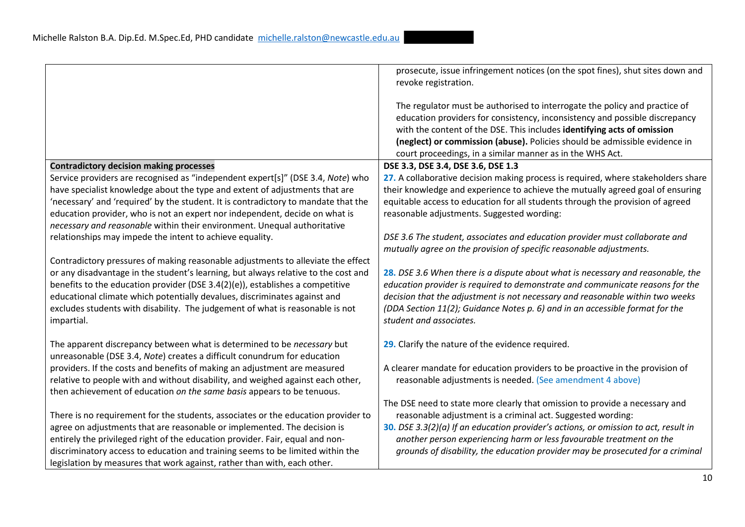|                                                                                                                                                           | prosecute, issue infringement notices (on the spot fines), shut sites down and<br>revoke registration.<br>The regulator must be authorised to interrogate the policy and practice of |
|-----------------------------------------------------------------------------------------------------------------------------------------------------------|--------------------------------------------------------------------------------------------------------------------------------------------------------------------------------------|
|                                                                                                                                                           | education providers for consistency, inconsistency and possible discrepancy<br>with the content of the DSE. This includes identifying acts of omission                               |
|                                                                                                                                                           | (neglect) or commission (abuse). Policies should be admissible evidence in<br>court proceedings, in a similar manner as in the WHS Act.                                              |
| <b>Contradictory decision making processes</b>                                                                                                            | DSE 3.3, DSE 3.4, DSE 3.6, DSE 1.3                                                                                                                                                   |
| Service providers are recognised as "independent expert[s]" (DSE 3.4, Note) who                                                                           | 27. A collaborative decision making process is required, where stakeholders share                                                                                                    |
| have specialist knowledge about the type and extent of adjustments that are                                                                               | their knowledge and experience to achieve the mutually agreed goal of ensuring                                                                                                       |
| 'necessary' and 'required' by the student. It is contradictory to mandate that the                                                                        | equitable access to education for all students through the provision of agreed                                                                                                       |
| education provider, who is not an expert nor independent, decide on what is                                                                               | reasonable adjustments. Suggested wording:                                                                                                                                           |
| necessary and reasonable within their environment. Unequal authoritative                                                                                  |                                                                                                                                                                                      |
| relationships may impede the intent to achieve equality.                                                                                                  | DSE 3.6 The student, associates and education provider must collaborate and                                                                                                          |
| Contradictory pressures of making reasonable adjustments to alleviate the effect                                                                          | mutually agree on the provision of specific reasonable adjustments.                                                                                                                  |
| or any disadvantage in the student's learning, but always relative to the cost and                                                                        | 28. DSE 3.6 When there is a dispute about what is necessary and reasonable, the                                                                                                      |
| benefits to the education provider (DSE 3.4(2)(e)), establishes a competitive                                                                             | education provider is required to demonstrate and communicate reasons for the                                                                                                        |
| educational climate which potentially devalues, discriminates against and                                                                                 | decision that the adjustment is not necessary and reasonable within two weeks                                                                                                        |
| excludes students with disability. The judgement of what is reasonable is not                                                                             | (DDA Section 11(2); Guidance Notes p. 6) and in an accessible format for the                                                                                                         |
| impartial.                                                                                                                                                | student and associates.                                                                                                                                                              |
|                                                                                                                                                           |                                                                                                                                                                                      |
| The apparent discrepancy between what is determined to be necessary but                                                                                   | 29. Clarify the nature of the evidence required.                                                                                                                                     |
| unreasonable (DSE 3.4, Note) creates a difficult conundrum for education                                                                                  |                                                                                                                                                                                      |
| providers. If the costs and benefits of making an adjustment are measured                                                                                 | A clearer mandate for education providers to be proactive in the provision of                                                                                                        |
| relative to people with and without disability, and weighed against each other,<br>then achievement of education on the same basis appears to be tenuous. | reasonable adjustments is needed. (See amendment 4 above)                                                                                                                            |
|                                                                                                                                                           | The DSE need to state more clearly that omission to provide a necessary and                                                                                                          |
| There is no requirement for the students, associates or the education provider to                                                                         | reasonable adjustment is a criminal act. Suggested wording:                                                                                                                          |
| agree on adjustments that are reasonable or implemented. The decision is                                                                                  | 30. DSE 3.3(2)(a) If an education provider's actions, or omission to act, result in                                                                                                  |
| entirely the privileged right of the education provider. Fair, equal and non-                                                                             | another person experiencing harm or less favourable treatment on the                                                                                                                 |
| discriminatory access to education and training seems to be limited within the                                                                            | grounds of disability, the education provider may be prosecuted for a criminal                                                                                                       |
| legislation by measures that work against, rather than with, each other.                                                                                  |                                                                                                                                                                                      |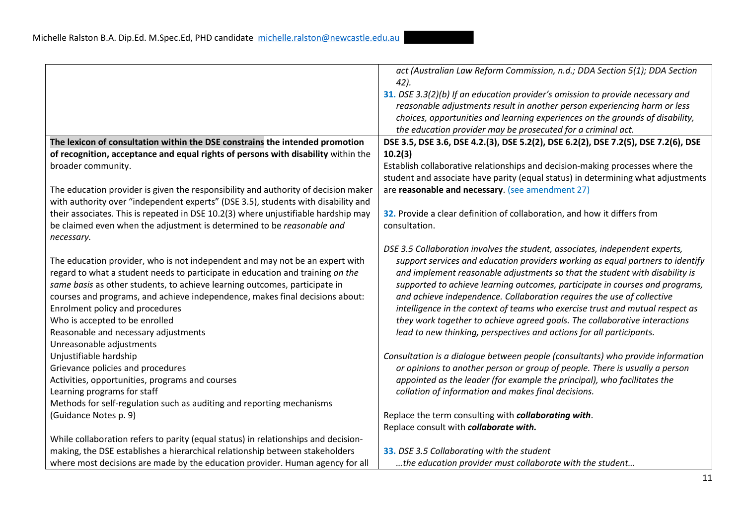|                                                                                    | act (Australian Law Reform Commission, n.d.; DDA Section 5(1); DDA Section         |
|------------------------------------------------------------------------------------|------------------------------------------------------------------------------------|
|                                                                                    | 42).                                                                               |
|                                                                                    | 31. DSE 3.3(2)(b) If an education provider's omission to provide necessary and     |
|                                                                                    | reasonable adjustments result in another person experiencing harm or less          |
|                                                                                    | choices, opportunities and learning experiences on the grounds of disability,      |
|                                                                                    | the education provider may be prosecuted for a criminal act.                       |
| The lexicon of consultation within the DSE constrains the intended promotion       | DSE 3.5, DSE 3.6, DSE 4.2.(3), DSE 5.2(2), DSE 6.2(2), DSE 7.2(5), DSE 7.2(6), DSE |
| of recognition, acceptance and equal rights of persons with disability within the  | 10.2(3)                                                                            |
| broader community.                                                                 | Establish collaborative relationships and decision-making processes where the      |
|                                                                                    | student and associate have parity (equal status) in determining what adjustments   |
| The education provider is given the responsibility and authority of decision maker | are reasonable and necessary. (see amendment 27)                                   |
| with authority over "independent experts" (DSE 3.5), students with disability and  |                                                                                    |
| their associates. This is repeated in DSE 10.2(3) where unjustifiable hardship may | 32. Provide a clear definition of collaboration, and how it differs from           |
| be claimed even when the adjustment is determined to be reasonable and             | consultation.                                                                      |
| necessary.                                                                         |                                                                                    |
|                                                                                    | DSE 3.5 Collaboration involves the student, associates, independent experts,       |
| The education provider, who is not independent and may not be an expert with       | support services and education providers working as equal partners to identify     |
| regard to what a student needs to participate in education and training on the     | and implement reasonable adjustments so that the student with disability is        |
| same basis as other students, to achieve learning outcomes, participate in         | supported to achieve learning outcomes, participate in courses and programs,       |
|                                                                                    |                                                                                    |
| courses and programs, and achieve independence, makes final decisions about:       | and achieve independence. Collaboration requires the use of collective             |
| Enrolment policy and procedures                                                    | intelligence in the context of teams who exercise trust and mutual respect as      |
| Who is accepted to be enrolled                                                     | they work together to achieve agreed goals. The collaborative interactions         |
| Reasonable and necessary adjustments                                               | lead to new thinking, perspectives and actions for all participants.               |
| Unreasonable adjustments                                                           |                                                                                    |
| Unjustifiable hardship                                                             | Consultation is a dialogue between people (consultants) who provide information    |
| Grievance policies and procedures                                                  | or opinions to another person or group of people. There is usually a person        |
| Activities, opportunities, programs and courses                                    | appointed as the leader (for example the principal), who facilitates the           |
| Learning programs for staff                                                        | collation of information and makes final decisions.                                |
| Methods for self-regulation such as auditing and reporting mechanisms              |                                                                                    |
| (Guidance Notes p. 9)                                                              | Replace the term consulting with collaborating with.                               |
|                                                                                    | Replace consult with collaborate with.                                             |
| While collaboration refers to parity (equal status) in relationships and decision- |                                                                                    |
| making, the DSE establishes a hierarchical relationship between stakeholders       | 33. DSE 3.5 Collaborating with the student                                         |
| where most decisions are made by the education provider. Human agency for all      | the education provider must collaborate with the student                           |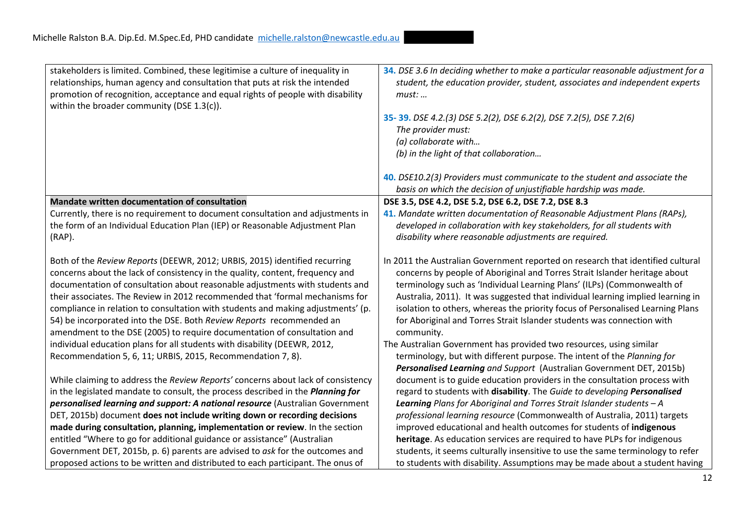| stakeholders is limited. Combined, these legitimise a culture of inequality in<br>relationships, human agency and consultation that puts at risk the intended<br>promotion of recognition, acceptance and equal rights of people with disability<br>within the broader community (DSE 1.3(c)). | 34. DSE 3.6 In deciding whether to make a particular reasonable adjustment for a<br>student, the education provider, student, associates and independent experts<br>must: |
|------------------------------------------------------------------------------------------------------------------------------------------------------------------------------------------------------------------------------------------------------------------------------------------------|---------------------------------------------------------------------------------------------------------------------------------------------------------------------------|
|                                                                                                                                                                                                                                                                                                | 35-39. DSE 4.2.(3) DSE 5.2(2), DSE 6.2(2), DSE 7.2(5), DSE 7.2(6)                                                                                                         |
|                                                                                                                                                                                                                                                                                                | The provider must:                                                                                                                                                        |
|                                                                                                                                                                                                                                                                                                | (a) collaborate with                                                                                                                                                      |
|                                                                                                                                                                                                                                                                                                | (b) in the light of that collaboration                                                                                                                                    |
|                                                                                                                                                                                                                                                                                                |                                                                                                                                                                           |
|                                                                                                                                                                                                                                                                                                | 40. DSE10.2(3) Providers must communicate to the student and associate the                                                                                                |
|                                                                                                                                                                                                                                                                                                | basis on which the decision of unjustifiable hardship was made.                                                                                                           |
| <b>Mandate written documentation of consultation</b>                                                                                                                                                                                                                                           | DSE 3.5, DSE 4.2, DSE 5.2, DSE 6.2, DSE 7.2, DSE 8.3                                                                                                                      |
| Currently, there is no requirement to document consultation and adjustments in                                                                                                                                                                                                                 | 41. Mandate written documentation of Reasonable Adjustment Plans (RAPs),                                                                                                  |
| the form of an Individual Education Plan (IEP) or Reasonable Adjustment Plan                                                                                                                                                                                                                   | developed in collaboration with key stakeholders, for all students with                                                                                                   |
| $(RAP)$ .                                                                                                                                                                                                                                                                                      | disability where reasonable adjustments are required.                                                                                                                     |
|                                                                                                                                                                                                                                                                                                |                                                                                                                                                                           |
| Both of the Review Reports (DEEWR, 2012; URBIS, 2015) identified recurring                                                                                                                                                                                                                     | In 2011 the Australian Government reported on research that identified cultural                                                                                           |
| concerns about the lack of consistency in the quality, content, frequency and                                                                                                                                                                                                                  | concerns by people of Aboriginal and Torres Strait Islander heritage about                                                                                                |
| documentation of consultation about reasonable adjustments with students and                                                                                                                                                                                                                   | terminology such as 'Individual Learning Plans' (ILPs) (Commonwealth of                                                                                                   |
| their associates. The Review in 2012 recommended that 'formal mechanisms for                                                                                                                                                                                                                   | Australia, 2011). It was suggested that individual learning implied learning in                                                                                           |
| compliance in relation to consultation with students and making adjustments' (p.                                                                                                                                                                                                               | isolation to others, whereas the priority focus of Personalised Learning Plans                                                                                            |
| 54) be incorporated into the DSE. Both Review Reports recommended an                                                                                                                                                                                                                           | for Aboriginal and Torres Strait Islander students was connection with                                                                                                    |
| amendment to the DSE (2005) to require documentation of consultation and                                                                                                                                                                                                                       | community.                                                                                                                                                                |
| individual education plans for all students with disability (DEEWR, 2012,                                                                                                                                                                                                                      | The Australian Government has provided two resources, using similar                                                                                                       |
| Recommendation 5, 6, 11; URBIS, 2015, Recommendation 7, 8).                                                                                                                                                                                                                                    | terminology, but with different purpose. The intent of the Planning for                                                                                                   |
|                                                                                                                                                                                                                                                                                                | Personalised Learning and Support (Australian Government DET, 2015b)                                                                                                      |
| While claiming to address the Review Reports' concerns about lack of consistency                                                                                                                                                                                                               | document is to guide education providers in the consultation process with                                                                                                 |
| in the legislated mandate to consult, the process described in the <i>Planning for</i>                                                                                                                                                                                                         | regard to students with disability. The Guide to developing Personalised                                                                                                  |
| personalised learning and support: A national resource (Australian Government                                                                                                                                                                                                                  | Learning Plans for Aboriginal and Torres Strait Islander students - A                                                                                                     |
| DET, 2015b) document does not include writing down or recording decisions                                                                                                                                                                                                                      | professional learning resource (Commonwealth of Australia, 2011) targets                                                                                                  |
| made during consultation, planning, implementation or review. In the section                                                                                                                                                                                                                   | improved educational and health outcomes for students of indigenous                                                                                                       |
| entitled "Where to go for additional guidance or assistance" (Australian                                                                                                                                                                                                                       | heritage. As education services are required to have PLPs for indigenous                                                                                                  |
| Government DET, 2015b, p. 6) parents are advised to ask for the outcomes and                                                                                                                                                                                                                   | students, it seems culturally insensitive to use the same terminology to refer                                                                                            |
| proposed actions to be written and distributed to each participant. The onus of                                                                                                                                                                                                                | to students with disability. Assumptions may be made about a student having                                                                                               |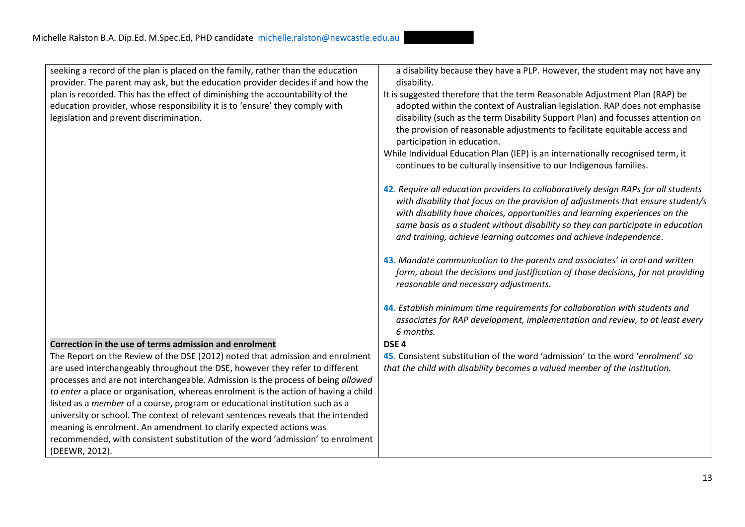| seeking a record of the plan is placed on the family, rather than the education<br>provider. The parent may ask, but the education provider decides if and how the                                                                                                                                                                                                                                                                                                                                                                                                                  | a disability because they have a PLP. However, the student may not have any<br>disability.                                                                                                                                                                                                                                                                                                                                                                                                                           |
|-------------------------------------------------------------------------------------------------------------------------------------------------------------------------------------------------------------------------------------------------------------------------------------------------------------------------------------------------------------------------------------------------------------------------------------------------------------------------------------------------------------------------------------------------------------------------------------|----------------------------------------------------------------------------------------------------------------------------------------------------------------------------------------------------------------------------------------------------------------------------------------------------------------------------------------------------------------------------------------------------------------------------------------------------------------------------------------------------------------------|
| plan is recorded. This has the effect of diminishing the accountability of the<br>education provider, whose responsibility it is to 'ensure' they comply with<br>legislation and prevent discrimination.                                                                                                                                                                                                                                                                                                                                                                            | It is suggested therefore that the term Reasonable Adjustment Plan (RAP) be<br>adopted within the context of Australian legislation. RAP does not emphasise<br>disability (such as the term Disability Support Plan) and focusses attention on<br>the provision of reasonable adjustments to facilitate equitable access and<br>participation in education.<br>While Individual Education Plan (IEP) is an internationally recognised term, it<br>continues to be culturally insensitive to our Indigenous families. |
|                                                                                                                                                                                                                                                                                                                                                                                                                                                                                                                                                                                     | 42. Require all education providers to collaboratively design RAPs for all students<br>with disability that focus on the provision of adjustments that ensure student/s<br>with disability have choices, opportunities and learning experiences on the<br>same basis as a student without disability so they can participate in education<br>and training, achieve learning outcomes and achieve independence.                                                                                                       |
|                                                                                                                                                                                                                                                                                                                                                                                                                                                                                                                                                                                     | 43. Mandate communication to the parents and associates' in oral and written<br>form, about the decisions and justification of those decisions, for not providing<br>reasonable and necessary adjustments.                                                                                                                                                                                                                                                                                                           |
|                                                                                                                                                                                                                                                                                                                                                                                                                                                                                                                                                                                     | 44. Establish minimum time requirements for collaboration with students and<br>associates for RAP development, implementation and review, to at least every<br>6 months.                                                                                                                                                                                                                                                                                                                                             |
| Correction in the use of terms admission and enrolment                                                                                                                                                                                                                                                                                                                                                                                                                                                                                                                              | DSE <sub>4</sub>                                                                                                                                                                                                                                                                                                                                                                                                                                                                                                     |
| The Report on the Review of the DSE (2012) noted that admission and enrolment<br>are used interchangeably throughout the DSE, however they refer to different<br>processes and are not interchangeable. Admission is the process of being allowed<br>to enter a place or organisation, whereas enrolment is the action of having a child<br>listed as a member of a course, program or educational institution such as a<br>university or school. The context of relevant sentences reveals that the intended<br>meaning is enrolment. An amendment to clarify expected actions was | 45. Consistent substitution of the word 'admission' to the word 'enrolment' so<br>that the child with disability becomes a valued member of the institution.                                                                                                                                                                                                                                                                                                                                                         |
| recommended, with consistent substitution of the word 'admission' to enrolment<br>(DEEWR, 2012).                                                                                                                                                                                                                                                                                                                                                                                                                                                                                    |                                                                                                                                                                                                                                                                                                                                                                                                                                                                                                                      |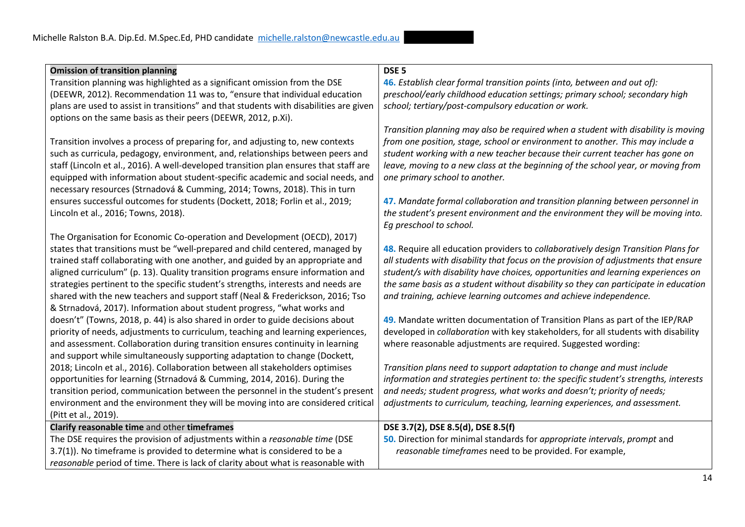| <b>Omission of transition planning</b>                                                 | DSE <sub>5</sub>                                                                     |
|----------------------------------------------------------------------------------------|--------------------------------------------------------------------------------------|
| Transition planning was highlighted as a significant omission from the DSE             | 46. Establish clear formal transition points (into, between and out of):             |
| (DEEWR, 2012). Recommendation 11 was to, "ensure that individual education             | preschool/early childhood education settings; primary school; secondary high         |
| plans are used to assist in transitions" and that students with disabilities are given | school; tertiary/post-compulsory education or work.                                  |
| options on the same basis as their peers (DEEWR, 2012, p.Xi).                          |                                                                                      |
|                                                                                        | Transition planning may also be required when a student with disability is moving    |
| Transition involves a process of preparing for, and adjusting to, new contexts         | from one position, stage, school or environment to another. This may include a       |
| such as curricula, pedagogy, environment, and, relationships between peers and         | student working with a new teacher because their current teacher has gone on         |
| staff (Lincoln et al., 2016). A well-developed transition plan ensures that staff are  | leave, moving to a new class at the beginning of the school year, or moving from     |
| equipped with information about student-specific academic and social needs, and        | one primary school to another.                                                       |
| necessary resources (Strnadová & Cumming, 2014; Towns, 2018). This in turn             |                                                                                      |
| ensures successful outcomes for students (Dockett, 2018; Forlin et al., 2019;          | 47. Mandate formal collaboration and transition planning between personnel in        |
| Lincoln et al., 2016; Towns, 2018).                                                    | the student's present environment and the environment they will be moving into.      |
|                                                                                        | Eg preschool to school.                                                              |
| The Organisation for Economic Co-operation and Development (OECD), 2017)               |                                                                                      |
| states that transitions must be "well-prepared and child centered, managed by          | 48. Require all education providers to collaboratively design Transition Plans for   |
| trained staff collaborating with one another, and guided by an appropriate and         | all students with disability that focus on the provision of adjustments that ensure  |
| aligned curriculum" (p. 13). Quality transition programs ensure information and        | student/s with disability have choices, opportunities and learning experiences on    |
| strategies pertinent to the specific student's strengths, interests and needs are      | the same basis as a student without disability so they can participate in education  |
| shared with the new teachers and support staff (Neal & Frederickson, 2016; Tso         | and training, achieve learning outcomes and achieve independence.                    |
| & Strnadová, 2017). Information about student progress, "what works and                |                                                                                      |
| doesn't" (Towns, 2018, p. 44) is also shared in order to guide decisions about         | 49. Mandate written documentation of Transition Plans as part of the IEP/RAP         |
| priority of needs, adjustments to curriculum, teaching and learning experiences,       | developed in collaboration with key stakeholders, for all students with disability   |
| and assessment. Collaboration during transition ensures continuity in learning         | where reasonable adjustments are required. Suggested wording:                        |
| and support while simultaneously supporting adaptation to change (Dockett,             |                                                                                      |
| 2018; Lincoln et al., 2016). Collaboration between all stakeholders optimises          | Transition plans need to support adaptation to change and must include               |
| opportunities for learning (Strnadová & Cumming, 2014, 2016). During the               | information and strategies pertinent to: the specific student's strengths, interests |
| transition period, communication between the personnel in the student's present        | and needs; student progress, what works and doesn't; priority of needs;              |
| environment and the environment they will be moving into are considered critical       | adjustments to curriculum, teaching, learning experiences, and assessment.           |
| (Pitt et al., 2019).                                                                   |                                                                                      |
| Clarify reasonable time and other timeframes                                           | DSE 3.7(2), DSE 8.5(d), DSE 8.5(f)                                                   |
| The DSE requires the provision of adjustments within a reasonable time (DSE            | 50. Direction for minimal standards for appropriate intervals, prompt and            |
| 3.7(1)). No timeframe is provided to determine what is considered to be a              | reasonable timeframes need to be provided. For example,                              |
| reasonable period of time. There is lack of clarity about what is reasonable with      |                                                                                      |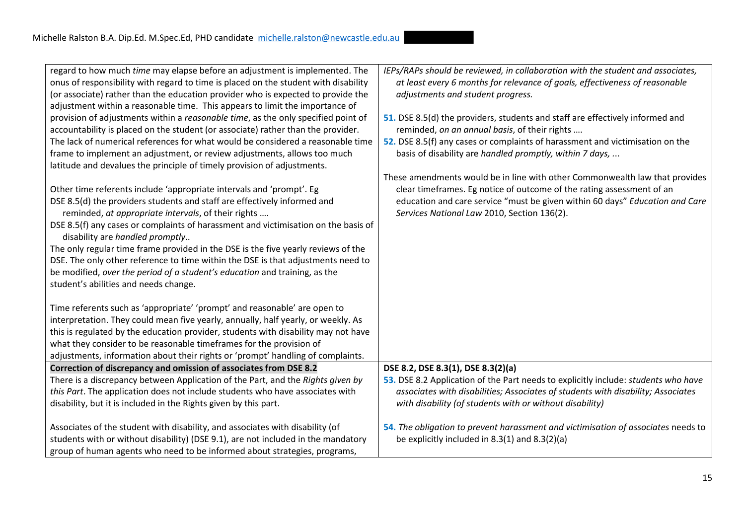| regard to how much time may elapse before an adjustment is implemented. The<br>onus of responsibility with regard to time is placed on the student with disability<br>(or associate) rather than the education provider who is expected to provide the                                        | IEPs/RAPs should be reviewed, in collaboration with the student and associates,<br>at least every 6 months for relevance of goals, effectiveness of reasonable<br>adjustments and student progress.                                                                                 |
|-----------------------------------------------------------------------------------------------------------------------------------------------------------------------------------------------------------------------------------------------------------------------------------------------|-------------------------------------------------------------------------------------------------------------------------------------------------------------------------------------------------------------------------------------------------------------------------------------|
| adjustment within a reasonable time. This appears to limit the importance of<br>provision of adjustments within a reasonable time, as the only specified point of<br>accountability is placed on the student (or associate) rather than the provider.                                         | 51. DSE 8.5(d) the providers, students and staff are effectively informed and<br>reminded, on an annual basis, of their rights                                                                                                                                                      |
| The lack of numerical references for what would be considered a reasonable time<br>frame to implement an adjustment, or review adjustments, allows too much                                                                                                                                   | 52. DSE 8.5(f) any cases or complaints of harassment and victimisation on the<br>basis of disability are handled promptly, within 7 days,                                                                                                                                           |
| latitude and devalues the principle of timely provision of adjustments.                                                                                                                                                                                                                       |                                                                                                                                                                                                                                                                                     |
| Other time referents include 'appropriate intervals and 'prompt'. Eg<br>DSE 8.5(d) the providers students and staff are effectively informed and<br>reminded, at appropriate intervals, of their rights<br>DSE 8.5(f) any cases or complaints of harassment and victimisation on the basis of | These amendments would be in line with other Commonwealth law that provides<br>clear timeframes. Eg notice of outcome of the rating assessment of an<br>education and care service "must be given within 60 days" Education and Care<br>Services National Law 2010, Section 136(2). |
| disability are handled promptly                                                                                                                                                                                                                                                               |                                                                                                                                                                                                                                                                                     |
| The only regular time frame provided in the DSE is the five yearly reviews of the<br>DSE. The only other reference to time within the DSE is that adjustments need to                                                                                                                         |                                                                                                                                                                                                                                                                                     |
| be modified, over the period of a student's education and training, as the                                                                                                                                                                                                                    |                                                                                                                                                                                                                                                                                     |
| student's abilities and needs change.                                                                                                                                                                                                                                                         |                                                                                                                                                                                                                                                                                     |
| Time referents such as 'appropriate' 'prompt' and reasonable' are open to                                                                                                                                                                                                                     |                                                                                                                                                                                                                                                                                     |
| interpretation. They could mean five yearly, annually, half yearly, or weekly. As<br>this is regulated by the education provider, students with disability may not have                                                                                                                       |                                                                                                                                                                                                                                                                                     |
| what they consider to be reasonable timeframes for the provision of                                                                                                                                                                                                                           |                                                                                                                                                                                                                                                                                     |
| adjustments, information about their rights or 'prompt' handling of complaints.                                                                                                                                                                                                               |                                                                                                                                                                                                                                                                                     |
| Correction of discrepancy and omission of associates from DSE 8.2                                                                                                                                                                                                                             | DSE 8.2, DSE 8.3(1), DSE 8.3(2)(a)                                                                                                                                                                                                                                                  |
| There is a discrepancy between Application of the Part, and the Rights given by<br>this Part. The application does not include students who have associates with                                                                                                                              | 53. DSE 8.2 Application of the Part needs to explicitly include: students who have<br>associates with disabilities; Associates of students with disability; Associates                                                                                                              |
| disability, but it is included in the Rights given by this part.                                                                                                                                                                                                                              | with disability (of students with or without disability)                                                                                                                                                                                                                            |
|                                                                                                                                                                                                                                                                                               |                                                                                                                                                                                                                                                                                     |
| Associates of the student with disability, and associates with disability (of                                                                                                                                                                                                                 | 54. The obligation to prevent harassment and victimisation of associates needs to                                                                                                                                                                                                   |
| students with or without disability) (DSE 9.1), are not included in the mandatory<br>group of human agents who need to be informed about strategies, programs,                                                                                                                                | be explicitly included in $8.3(1)$ and $8.3(2)(a)$                                                                                                                                                                                                                                  |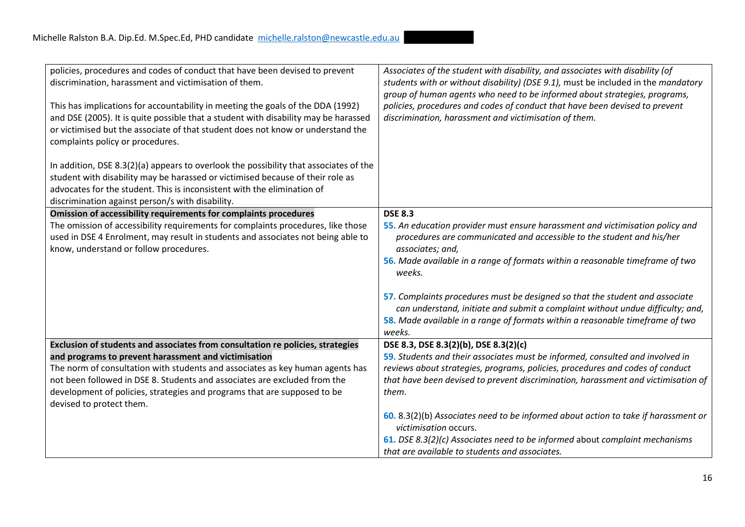| policies, procedures and codes of conduct that have been devised to prevent<br>discrimination, harassment and victimisation of them.<br>This has implications for accountability in meeting the goals of the DDA (1992)<br>and DSE (2005). It is quite possible that a student with disability may be harassed<br>or victimised but the associate of that student does not know or understand the<br>complaints policy or procedures.<br>In addition, DSE $8.3(2)(a)$ appears to overlook the possibility that associates of the<br>student with disability may be harassed or victimised because of their role as<br>advocates for the student. This is inconsistent with the elimination of<br>discrimination against person/s with disability. | Associates of the student with disability, and associates with disability (of<br>students with or without disability) (DSE 9.1), must be included in the mandatory<br>group of human agents who need to be informed about strategies, programs,<br>policies, procedures and codes of conduct that have been devised to prevent<br>discrimination, harassment and victimisation of them.                                                                                                                                            |
|---------------------------------------------------------------------------------------------------------------------------------------------------------------------------------------------------------------------------------------------------------------------------------------------------------------------------------------------------------------------------------------------------------------------------------------------------------------------------------------------------------------------------------------------------------------------------------------------------------------------------------------------------------------------------------------------------------------------------------------------------|------------------------------------------------------------------------------------------------------------------------------------------------------------------------------------------------------------------------------------------------------------------------------------------------------------------------------------------------------------------------------------------------------------------------------------------------------------------------------------------------------------------------------------|
| Omission of accessibility requirements for complaints procedures                                                                                                                                                                                                                                                                                                                                                                                                                                                                                                                                                                                                                                                                                  | <b>DSE 8.3</b>                                                                                                                                                                                                                                                                                                                                                                                                                                                                                                                     |
| The omission of accessibility requirements for complaints procedures, like those<br>used in DSE 4 Enrolment, may result in students and associates not being able to<br>know, understand or follow procedures.                                                                                                                                                                                                                                                                                                                                                                                                                                                                                                                                    | 55. An education provider must ensure harassment and victimisation policy and<br>procedures are communicated and accessible to the student and his/her<br>associates; and,<br>56. Made available in a range of formats within a reasonable timeframe of two<br>weeks.<br>57. Complaints procedures must be designed so that the student and associate<br>can understand, initiate and submit a complaint without undue difficulty; and,<br>58. Made available in a range of formats within a reasonable timeframe of two<br>weeks. |
| Exclusion of students and associates from consultation re policies, strategies                                                                                                                                                                                                                                                                                                                                                                                                                                                                                                                                                                                                                                                                    | DSE 8.3, DSE 8.3(2)(b), DSE 8.3(2)(c)                                                                                                                                                                                                                                                                                                                                                                                                                                                                                              |
| and programs to prevent harassment and victimisation                                                                                                                                                                                                                                                                                                                                                                                                                                                                                                                                                                                                                                                                                              | 59. Students and their associates must be informed, consulted and involved in                                                                                                                                                                                                                                                                                                                                                                                                                                                      |
| The norm of consultation with students and associates as key human agents has                                                                                                                                                                                                                                                                                                                                                                                                                                                                                                                                                                                                                                                                     | reviews about strategies, programs, policies, procedures and codes of conduct                                                                                                                                                                                                                                                                                                                                                                                                                                                      |
| not been followed in DSE 8. Students and associates are excluded from the<br>development of policies, strategies and programs that are supposed to be                                                                                                                                                                                                                                                                                                                                                                                                                                                                                                                                                                                             | that have been devised to prevent discrimination, harassment and victimisation of<br>them.                                                                                                                                                                                                                                                                                                                                                                                                                                         |
| devised to protect them.                                                                                                                                                                                                                                                                                                                                                                                                                                                                                                                                                                                                                                                                                                                          |                                                                                                                                                                                                                                                                                                                                                                                                                                                                                                                                    |
|                                                                                                                                                                                                                                                                                                                                                                                                                                                                                                                                                                                                                                                                                                                                                   | 60. 8.3(2)(b) Associates need to be informed about action to take if harassment or                                                                                                                                                                                                                                                                                                                                                                                                                                                 |
|                                                                                                                                                                                                                                                                                                                                                                                                                                                                                                                                                                                                                                                                                                                                                   | victimisation occurs.                                                                                                                                                                                                                                                                                                                                                                                                                                                                                                              |
|                                                                                                                                                                                                                                                                                                                                                                                                                                                                                                                                                                                                                                                                                                                                                   | 61. DSE 8.3(2)(c) Associates need to be informed about complaint mechanisms                                                                                                                                                                                                                                                                                                                                                                                                                                                        |
|                                                                                                                                                                                                                                                                                                                                                                                                                                                                                                                                                                                                                                                                                                                                                   | that are available to students and associates.                                                                                                                                                                                                                                                                                                                                                                                                                                                                                     |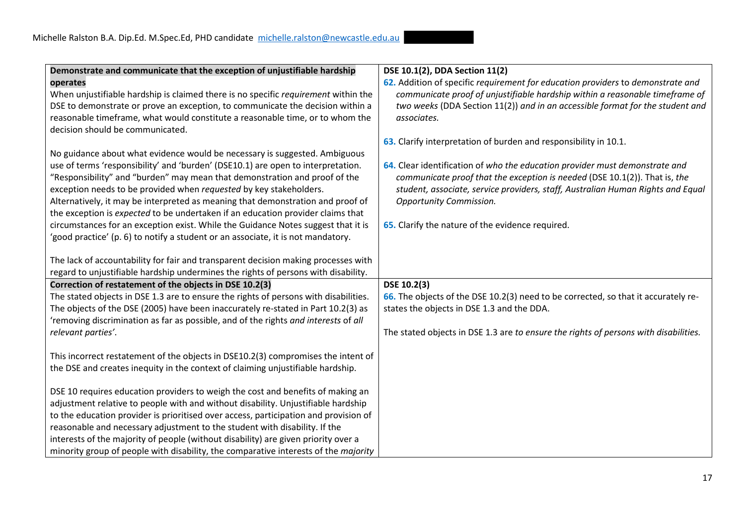| DSE 10.1(2), DDA Section 11(2)                                                                                                                                                                                                                                                                                                                                                                                                      |
|-------------------------------------------------------------------------------------------------------------------------------------------------------------------------------------------------------------------------------------------------------------------------------------------------------------------------------------------------------------------------------------------------------------------------------------|
| 62. Addition of specific requirement for education providers to demonstrate and                                                                                                                                                                                                                                                                                                                                                     |
| communicate proof of unjustifiable hardship within a reasonable timeframe of                                                                                                                                                                                                                                                                                                                                                        |
| two weeks (DDA Section 11(2)) and in an accessible format for the student and                                                                                                                                                                                                                                                                                                                                                       |
| associates.                                                                                                                                                                                                                                                                                                                                                                                                                         |
| 63. Clarify interpretation of burden and responsibility in 10.1.                                                                                                                                                                                                                                                                                                                                                                    |
|                                                                                                                                                                                                                                                                                                                                                                                                                                     |
| 64. Clear identification of who the education provider must demonstrate and                                                                                                                                                                                                                                                                                                                                                         |
| communicate proof that the exception is needed (DSE 10.1(2)). That is, the                                                                                                                                                                                                                                                                                                                                                          |
| student, associate, service providers, staff, Australian Human Rights and Equal                                                                                                                                                                                                                                                                                                                                                     |
| <b>Opportunity Commission.</b>                                                                                                                                                                                                                                                                                                                                                                                                      |
|                                                                                                                                                                                                                                                                                                                                                                                                                                     |
| 65. Clarify the nature of the evidence required.                                                                                                                                                                                                                                                                                                                                                                                    |
|                                                                                                                                                                                                                                                                                                                                                                                                                                     |
|                                                                                                                                                                                                                                                                                                                                                                                                                                     |
|                                                                                                                                                                                                                                                                                                                                                                                                                                     |
| DSE 10.2(3)                                                                                                                                                                                                                                                                                                                                                                                                                         |
| 66. The objects of the DSE 10.2(3) need to be corrected, so that it accurately re-                                                                                                                                                                                                                                                                                                                                                  |
| states the objects in DSE 1.3 and the DDA.                                                                                                                                                                                                                                                                                                                                                                                          |
|                                                                                                                                                                                                                                                                                                                                                                                                                                     |
| The stated objects in DSE 1.3 are to ensure the rights of persons with disabilities.                                                                                                                                                                                                                                                                                                                                                |
| This incorrect restatement of the objects in DSE10.2(3) compromises the intent of                                                                                                                                                                                                                                                                                                                                                   |
|                                                                                                                                                                                                                                                                                                                                                                                                                                     |
|                                                                                                                                                                                                                                                                                                                                                                                                                                     |
|                                                                                                                                                                                                                                                                                                                                                                                                                                     |
|                                                                                                                                                                                                                                                                                                                                                                                                                                     |
|                                                                                                                                                                                                                                                                                                                                                                                                                                     |
|                                                                                                                                                                                                                                                                                                                                                                                                                                     |
| minority group of people with disability, the comparative interests of the majority                                                                                                                                                                                                                                                                                                                                                 |
| When unjustifiable hardship is claimed there is no specific requirement within the<br>DSE to demonstrate or prove an exception, to communicate the decision within a<br>reasonable timeframe, what would constitute a reasonable time, or to whom the<br>The lack of accountability for fair and transparent decision making processes with<br>to the education provider is prioritised over access, participation and provision of |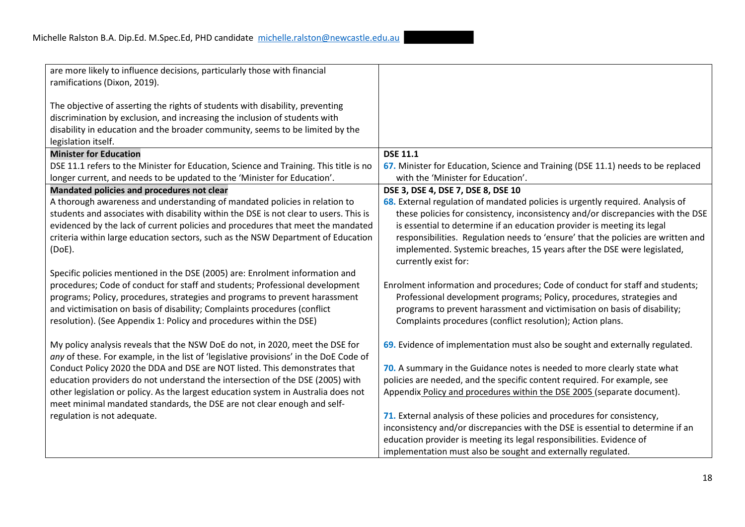| are more likely to influence decisions, particularly those with financial<br>ramifications (Dixon, 2019).                                                                                                                                                                                                                                                                                                                                                                                                                             |                                                                                                                                                                                                                                                                                                                                                                                                                                                                                                                                                                                                                        |
|---------------------------------------------------------------------------------------------------------------------------------------------------------------------------------------------------------------------------------------------------------------------------------------------------------------------------------------------------------------------------------------------------------------------------------------------------------------------------------------------------------------------------------------|------------------------------------------------------------------------------------------------------------------------------------------------------------------------------------------------------------------------------------------------------------------------------------------------------------------------------------------------------------------------------------------------------------------------------------------------------------------------------------------------------------------------------------------------------------------------------------------------------------------------|
| The objective of asserting the rights of students with disability, preventing<br>discrimination by exclusion, and increasing the inclusion of students with<br>disability in education and the broader community, seems to be limited by the<br>legislation itself.                                                                                                                                                                                                                                                                   |                                                                                                                                                                                                                                                                                                                                                                                                                                                                                                                                                                                                                        |
| <b>Minister for Education</b>                                                                                                                                                                                                                                                                                                                                                                                                                                                                                                         | <b>DSE 11.1</b>                                                                                                                                                                                                                                                                                                                                                                                                                                                                                                                                                                                                        |
| DSE 11.1 refers to the Minister for Education, Science and Training. This title is no<br>longer current, and needs to be updated to the 'Minister for Education'.                                                                                                                                                                                                                                                                                                                                                                     | 67. Minister for Education, Science and Training (DSE 11.1) needs to be replaced<br>with the 'Minister for Education'.                                                                                                                                                                                                                                                                                                                                                                                                                                                                                                 |
| Mandated policies and procedures not clear                                                                                                                                                                                                                                                                                                                                                                                                                                                                                            | DSE 3, DSE 4, DSE 7, DSE 8, DSE 10                                                                                                                                                                                                                                                                                                                                                                                                                                                                                                                                                                                     |
| A thorough awareness and understanding of mandated policies in relation to<br>students and associates with disability within the DSE is not clear to users. This is<br>evidenced by the lack of current policies and procedures that meet the mandated<br>criteria within large education sectors, such as the NSW Department of Education<br>(DoE).                                                                                                                                                                                  | 68. External regulation of mandated policies is urgently required. Analysis of<br>these policies for consistency, inconsistency and/or discrepancies with the DSE<br>is essential to determine if an education provider is meeting its legal<br>responsibilities. Regulation needs to 'ensure' that the policies are written and<br>implemented. Systemic breaches, 15 years after the DSE were legislated,<br>currently exist for:                                                                                                                                                                                    |
| Specific policies mentioned in the DSE (2005) are: Enrolment information and<br>procedures; Code of conduct for staff and students; Professional development<br>programs; Policy, procedures, strategies and programs to prevent harassment<br>and victimisation on basis of disability; Complaints procedures (conflict<br>resolution). (See Appendix 1: Policy and procedures within the DSE)                                                                                                                                       | Enrolment information and procedures; Code of conduct for staff and students;<br>Professional development programs; Policy, procedures, strategies and<br>programs to prevent harassment and victimisation on basis of disability;<br>Complaints procedures (conflict resolution); Action plans.                                                                                                                                                                                                                                                                                                                       |
| My policy analysis reveals that the NSW DoE do not, in 2020, meet the DSE for<br>any of these. For example, in the list of 'legislative provisions' in the DoE Code of<br>Conduct Policy 2020 the DDA and DSE are NOT listed. This demonstrates that<br>education providers do not understand the intersection of the DSE (2005) with<br>other legislation or policy. As the largest education system in Australia does not<br>meet minimal mandated standards, the DSE are not clear enough and self-<br>regulation is not adequate. | 69. Evidence of implementation must also be sought and externally regulated.<br>70. A summary in the Guidance notes is needed to more clearly state what<br>policies are needed, and the specific content required. For example, see<br>Appendix Policy and procedures within the DSE 2005 (separate document).<br>71. External analysis of these policies and procedures for consistency,<br>inconsistency and/or discrepancies with the DSE is essential to determine if an<br>education provider is meeting its legal responsibilities. Evidence of<br>implementation must also be sought and externally regulated. |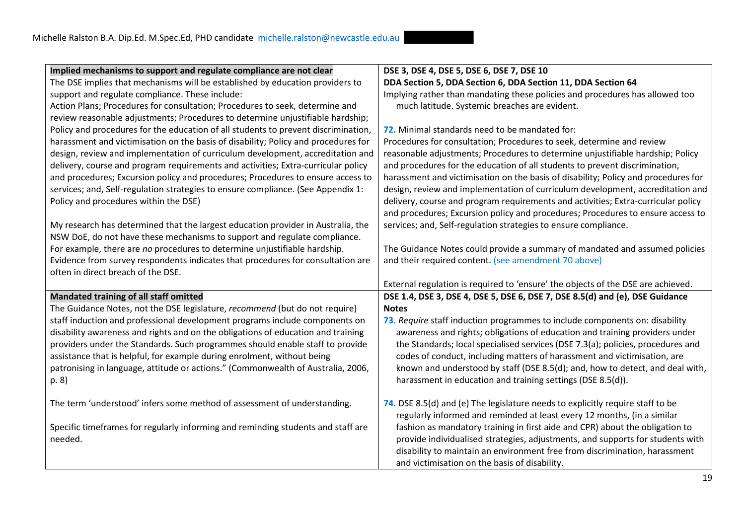| Implied mechanisms to support and regulate compliance are not clear                | DSE 3, DSE 4, DSE 5, DSE 6, DSE 7, DSE 10                                          |
|------------------------------------------------------------------------------------|------------------------------------------------------------------------------------|
| The DSE implies that mechanisms will be established by education providers to      | DDA Section 5, DDA Section 6, DDA Section 11, DDA Section 64                       |
| support and regulate compliance. These include:                                    | Implying rather than mandating these policies and procedures has allowed too       |
| Action Plans; Procedures for consultation; Procedures to seek, determine and       | much latitude. Systemic breaches are evident.                                      |
| review reasonable adjustments; Procedures to determine unjustifiable hardship;     |                                                                                    |
| Policy and procedures for the education of all students to prevent discrimination, | 72. Minimal standards need to be mandated for:                                     |
| harassment and victimisation on the basis of disability; Policy and procedures for | Procedures for consultation; Procedures to seek, determine and review              |
| design, review and implementation of curriculum development, accreditation and     | reasonable adjustments; Procedures to determine unjustifiable hardship; Policy     |
| delivery, course and program requirements and activities; Extra-curricular policy  | and procedures for the education of all students to prevent discrimination,        |
| and procedures; Excursion policy and procedures; Procedures to ensure access to    | harassment and victimisation on the basis of disability; Policy and procedures for |
| services; and, Self-regulation strategies to ensure compliance. (See Appendix 1:   | design, review and implementation of curriculum development, accreditation and     |
| Policy and procedures within the DSE)                                              | delivery, course and program requirements and activities; Extra-curricular policy  |
|                                                                                    | and procedures; Excursion policy and procedures; Procedures to ensure access to    |
| My research has determined that the largest education provider in Australia, the   | services; and, Self-regulation strategies to ensure compliance.                    |
| NSW DoE, do not have these mechanisms to support and regulate compliance.          |                                                                                    |
| For example, there are no procedures to determine unjustifiable hardship.          | The Guidance Notes could provide a summary of mandated and assumed policies        |
| Evidence from survey respondents indicates that procedures for consultation are    | and their required content. (see amendment 70 above)                               |
| often in direct breach of the DSE.                                                 |                                                                                    |
|                                                                                    | External regulation is required to 'ensure' the objects of the DSE are achieved.   |
| Mandated training of all staff omitted                                             | DSE 1.4, DSE 3, DSE 4, DSE 5, DSE 6, DSE 7, DSE 8.5(d) and (e), DSE Guidance       |
| The Guidance Notes, not the DSE legislature, recommend (but do not require)        | <b>Notes</b>                                                                       |
| staff induction and professional development programs include components on        | 73. Require staff induction programmes to include components on: disability        |
| disability awareness and rights and on the obligations of education and training   | awareness and rights; obligations of education and training providers under        |
| providers under the Standards. Such programmes should enable staff to provide      | the Standards; local specialised services (DSE 7.3(a); policies, procedures and    |
| assistance that is helpful, for example during enrolment, without being            | codes of conduct, including matters of harassment and victimisation, are           |
| patronising in language, attitude or actions." (Commonwealth of Australia, 2006,   | known and understood by staff (DSE 8.5(d); and, how to detect, and deal with,      |
| p. 8)                                                                              | harassment in education and training settings (DSE 8.5(d)).                        |
| The term 'understood' infers some method of assessment of understanding.           | 74. DSE 8.5(d) and (e) The legislature needs to explicitly require staff to be     |
|                                                                                    | regularly informed and reminded at least every 12 months, (in a similar            |
| Specific timeframes for regularly informing and reminding students and staff are   | fashion as mandatory training in first aide and CPR) about the obligation to       |
| needed.                                                                            | provide individualised strategies, adjustments, and supports for students with     |
|                                                                                    | disability to maintain an environment free from discrimination, harassment         |
|                                                                                    | and victimisation on the basis of disability.                                      |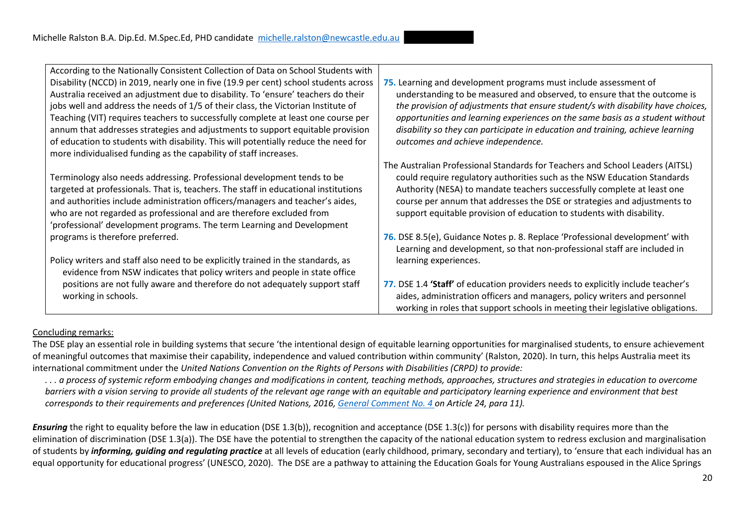| According to the Nationally Consistent Collection of Data on School Students with                                                                                                                                                                                                                                                                                                                 |                                                                                                                                                                                                                                                                                                          |
|---------------------------------------------------------------------------------------------------------------------------------------------------------------------------------------------------------------------------------------------------------------------------------------------------------------------------------------------------------------------------------------------------|----------------------------------------------------------------------------------------------------------------------------------------------------------------------------------------------------------------------------------------------------------------------------------------------------------|
| Disability (NCCD) in 2019, nearly one in five (19.9 per cent) school students across<br>Australia received an adjustment due to disability. To 'ensure' teachers do their                                                                                                                                                                                                                         | 75. Learning and development programs must include assessment of<br>understanding to be measured and observed, to ensure that the outcome is                                                                                                                                                             |
| jobs well and address the needs of 1/5 of their class, the Victorian Institute of<br>Teaching (VIT) requires teachers to successfully complete at least one course per                                                                                                                                                                                                                            | the provision of adjustments that ensure student/s with disability have choices,<br>opportunities and learning experiences on the same basis as a student without                                                                                                                                        |
| annum that addresses strategies and adjustments to support equitable provision<br>of education to students with disability. This will potentially reduce the need for<br>more individualised funding as the capability of staff increases.                                                                                                                                                        | disability so they can participate in education and training, achieve learning<br>outcomes and achieve independence.                                                                                                                                                                                     |
|                                                                                                                                                                                                                                                                                                                                                                                                   | The Australian Professional Standards for Teachers and School Leaders (AITSL)                                                                                                                                                                                                                            |
| Terminology also needs addressing. Professional development tends to be<br>targeted at professionals. That is, teachers. The staff in educational institutions<br>and authorities include administration officers/managers and teacher's aides,<br>who are not regarded as professional and are therefore excluded from<br>'professional' development programs. The term Learning and Development | could require regulatory authorities such as the NSW Education Standards<br>Authority (NESA) to mandate teachers successfully complete at least one<br>course per annum that addresses the DSE or strategies and adjustments to<br>support equitable provision of education to students with disability. |
| programs is therefore preferred.                                                                                                                                                                                                                                                                                                                                                                  | 76. DSE 8.5(e), Guidance Notes p. 8. Replace 'Professional development' with<br>Learning and development, so that non-professional staff are included in                                                                                                                                                 |
| Policy writers and staff also need to be explicitly trained in the standards, as<br>evidence from NSW indicates that policy writers and people in state office                                                                                                                                                                                                                                    | learning experiences.                                                                                                                                                                                                                                                                                    |
| positions are not fully aware and therefore do not adequately support staff                                                                                                                                                                                                                                                                                                                       | 77. DSE 1.4 <b>'Staff'</b> of education providers needs to explicitly include teacher's                                                                                                                                                                                                                  |

**77.** DSE 1.4 **'Staff'** of education providers needs to explicitly include teacher's aides, administration officers and managers, policy writers and personnel working in roles that support schools in meeting their legislative obligations.

# Concluding remarks:

working in schools.

The DSE play an essential role in building systems that secure 'the intentional design of equitable learning opportunities for marginalised students, to ensure achievement of meaningful outcomes that maximise their capability, independence and valued contribution within community' (Ralston, 2020). In turn, this helps Australia meet its international commitment under the *United Nations Convention on the Rights of Persons with Disabilities (CRPD) to provide:*

*. . . a process of systemic reform embodying changes and modifications in content, teaching methods, approaches, structures and strategies in education to overcome barriers with a vision serving to provide all students of the relevant age range with an equitable and participatory learning experience and environment that best corresponds to their requirements and preferences (United Nations, 2016, General Comment No. 4 on Article 24, para 11).* 

*Ensuring* the right to equality before the law in education (DSE 1.3(b)), recognition and acceptance (DSE 1.3(c)) for persons with disability requires more than the elimination of discrimination (DSE 1.3(a)). The DSE have the potential to strengthen the capacity of the national education system to redress exclusion and marginalisation of students by *informing, guiding and regulating practice* at all levels of education (early childhood, primary, secondary and tertiary), to 'ensure that each individual has an equal opportunity for educational progress' (UNESCO, 2020). The DSE are a pathway to attaining the Education Goals for Young Australians espoused in the Alice Springs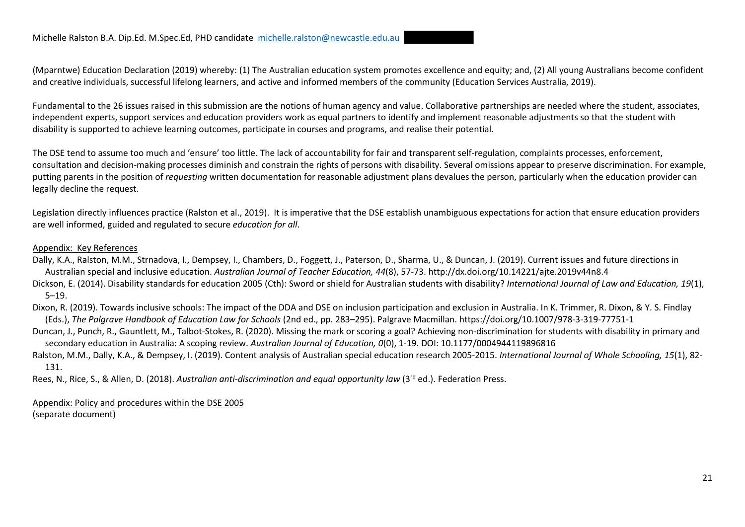(Mparntwe) Education Declaration (2019) whereby: (1) The Australian education system promotes excellence and equity; and, (2) All young Australians become confident and creative individuals, successful lifelong learners, and active and informed members of the community (Education Services Australia, 2019).

Fundamental to the 26 issues raised in this submission are the notions of human agency and value. Collaborative partnerships are needed where the student, associates, independent experts, support services and education providers work as equal partners to identify and implement reasonable adjustments so that the student with disability is supported to achieve learning outcomes, participate in courses and programs, and realise their potential.

The DSE tend to assume too much and 'ensure' too little. The lack of accountability for fair and transparent self-regulation, complaints processes, enforcement, consultation and decision-making processes diminish and constrain the rights of persons with disability. Several omissions appear to preserve discrimination. For example, putting parents in the position of *requesting* written documentation for reasonable adjustment plans devalues the person, particularly when the education provider can legally decline the request.

Legislation directly influences practice (Ralston et al., 2019). It is imperative that the DSE establish unambiguous expectations for action that ensure education providers are well informed, guided and regulated to secure *education for all*.

# Appendix: Key References

Dally, K.A., Ralston, M.M., Strnadova, I., Dempsey, I., Chambers, D., Foggett, J., Paterson, D., Sharma, U., & Duncan, J. (2019). Current issues and future directions in Australian special and inclusive education. *Australian Journal of Teacher Education, 44*(8), 57-73. http://dx.doi.org/10.14221/ajte.2019v44n8.4

Dickson, E. (2014). Disability standards for education 2005 (Cth): Sword or shield for Australian students with disability? *International Journal of Law and Education, 19*(1), 5–19.

Dixon, R. (2019). Towards inclusive schools: The impact of the DDA and DSE on inclusion participation and exclusion in Australia. In K. Trimmer, R. Dixon, & Y. S. Findlay (Eds.), *The Palgrave Handbook of Education Law for Schools* (2nd ed., pp. 283–295). Palgrave Macmillan. https://doi.org/10.1007/978-3-319-77751-1

Duncan, J., Punch, R., Gauntlett, M., Talbot-Stokes, R. (2020). Missing the mark or scoring a goal? Achieving non-discrimination for students with disability in primary and secondary education in Australia: A scoping review. *Australian Journal of Education, 0*(0), 1-19. DOI: 10.1177/0004944119896816

Ralston, M.M., Dally, K.A., & Dempsey, I. (2019). Content analysis of Australian special education research 2005-2015. *International Journal of Whole Schooling, 15*(1), 82- 131.

Rees, N., Rice, S., & Allen, D. (2018). *Australian anti-discrimination and equal opportunity law* (3<sup>rd</sup> ed.). Federation Press.

Appendix: Policy and procedures within the DSE 2005

(separate document)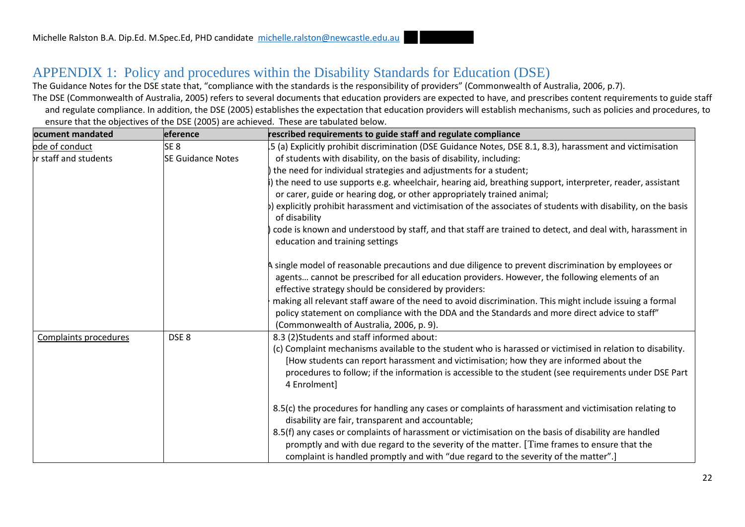# APPENDIX 1: Policy and procedures within the Disability Standards for Education (DSE)

The Guidance Notes for the DSE state that, "compliance with the standards is the responsibility of providers" (Commonwealth of Australia, 2006, p.7).

The DSE (Commonwealth of Australia, 2005) refers to several documents that education providers are expected to have, and prescribes content requirements to guide staff and regulate compliance. In addition, the DSE (2005) establishes the expectation that education providers will establish mechanisms, such as policies and procedures, to ensure that the objectives of the DSE (2005) are achieved. These are tabulated below.

| ocument mandated                                  | eference                                                                                                                                                                                                                                               | rescribed requirements to guide staff and regulate compliance                                                                                                                                                                                                                                                                  |
|---------------------------------------------------|--------------------------------------------------------------------------------------------------------------------------------------------------------------------------------------------------------------------------------------------------------|--------------------------------------------------------------------------------------------------------------------------------------------------------------------------------------------------------------------------------------------------------------------------------------------------------------------------------|
| ode of conduct                                    | SE <sub>8</sub>                                                                                                                                                                                                                                        | 5 (a) Explicitly prohibit discrimination (DSE Guidance Notes, DSE 8.1, 8.3), harassment and victimisation                                                                                                                                                                                                                      |
| br staff and students<br><b>SE Guidance Notes</b> | of students with disability, on the basis of disability, including:                                                                                                                                                                                    |                                                                                                                                                                                                                                                                                                                                |
|                                                   |                                                                                                                                                                                                                                                        | the need for individual strategies and adjustments for a student;                                                                                                                                                                                                                                                              |
|                                                   |                                                                                                                                                                                                                                                        | ) the need to use supports e.g. wheelchair, hearing aid, breathing support, interpreter, reader, assistant<br>or carer, guide or hearing dog, or other appropriately trained animal;                                                                                                                                           |
|                                                   |                                                                                                                                                                                                                                                        | b) explicitly prohibit harassment and victimisation of the associates of students with disability, on the basis<br>of disability                                                                                                                                                                                               |
|                                                   |                                                                                                                                                                                                                                                        | code is known and understood by staff, and that staff are trained to detect, and deal with, harassment in<br>education and training settings                                                                                                                                                                                   |
|                                                   |                                                                                                                                                                                                                                                        | A single model of reasonable precautions and due diligence to prevent discrimination by employees or<br>agents cannot be prescribed for all education providers. However, the following elements of an<br>effective strategy should be considered by providers:                                                                |
|                                                   | making all relevant staff aware of the need to avoid discrimination. This might include issuing a formal<br>policy statement on compliance with the DDA and the Standards and more direct advice to staff"<br>(Commonwealth of Australia, 2006, p. 9). |                                                                                                                                                                                                                                                                                                                                |
| Complaints procedures                             | DSE <sub>8</sub>                                                                                                                                                                                                                                       | 8.3 (2) Students and staff informed about:                                                                                                                                                                                                                                                                                     |
|                                                   |                                                                                                                                                                                                                                                        | (c) Complaint mechanisms available to the student who is harassed or victimised in relation to disability.<br>[How students can report harassment and victimisation; how they are informed about the<br>procedures to follow; if the information is accessible to the student (see requirements under DSE Part<br>4 Enrolment] |
|                                                   |                                                                                                                                                                                                                                                        | 8.5(c) the procedures for handling any cases or complaints of harassment and victimisation relating to<br>disability are fair, transparent and accountable;                                                                                                                                                                    |
|                                                   |                                                                                                                                                                                                                                                        | 8.5(f) any cases or complaints of harassment or victimisation on the basis of disability are handled<br>promptly and with due regard to the severity of the matter. [Time frames to ensure that the<br>complaint is handled promptly and with "due regard to the severity of the matter".]                                     |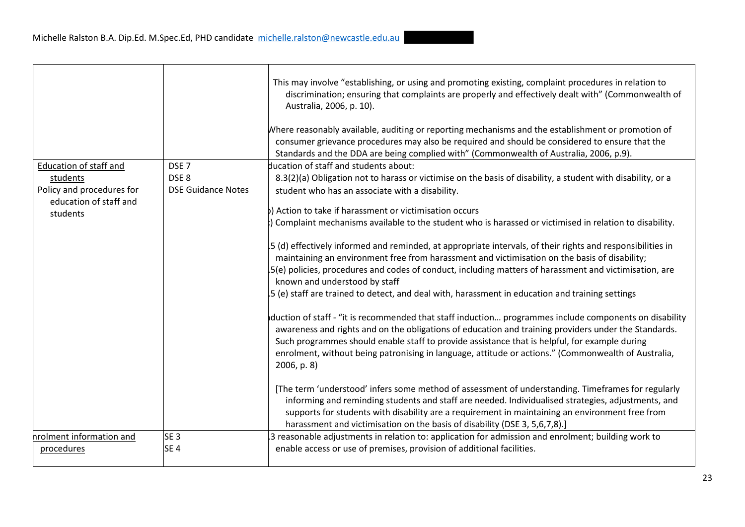|                           |                           | This may involve "establishing, or using and promoting existing, complaint procedures in relation to<br>discrimination; ensuring that complaints are properly and effectively dealt with" (Commonwealth of<br>Australia, 2006, p. 10).<br>Where reasonably available, auditing or reporting mechanisms and the establishment or promotion of<br>consumer grievance procedures may also be required and should be considered to ensure that the<br>Standards and the DDA are being complied with" (Commonwealth of Australia, 2006, p.9).                                                                                                                                                                                                                                                                                                                                                           |
|---------------------------|---------------------------|----------------------------------------------------------------------------------------------------------------------------------------------------------------------------------------------------------------------------------------------------------------------------------------------------------------------------------------------------------------------------------------------------------------------------------------------------------------------------------------------------------------------------------------------------------------------------------------------------------------------------------------------------------------------------------------------------------------------------------------------------------------------------------------------------------------------------------------------------------------------------------------------------|
| Education of staff and    | DSE <sub>7</sub>          | ducation of staff and students about:                                                                                                                                                                                                                                                                                                                                                                                                                                                                                                                                                                                                                                                                                                                                                                                                                                                              |
| students                  | DSE <sub>8</sub>          | 8.3(2)(a) Obligation not to harass or victimise on the basis of disability, a student with disability, or a                                                                                                                                                                                                                                                                                                                                                                                                                                                                                                                                                                                                                                                                                                                                                                                        |
| Policy and procedures for | <b>DSE Guidance Notes</b> |                                                                                                                                                                                                                                                                                                                                                                                                                                                                                                                                                                                                                                                                                                                                                                                                                                                                                                    |
| education of staff and    |                           | student who has an associate with a disability.                                                                                                                                                                                                                                                                                                                                                                                                                                                                                                                                                                                                                                                                                                                                                                                                                                                    |
|                           |                           | b) Action to take if harassment or victimisation occurs                                                                                                                                                                                                                                                                                                                                                                                                                                                                                                                                                                                                                                                                                                                                                                                                                                            |
| students                  |                           | Complaint mechanisms available to the student who is harassed or victimised in relation to disability.                                                                                                                                                                                                                                                                                                                                                                                                                                                                                                                                                                                                                                                                                                                                                                                             |
|                           |                           |                                                                                                                                                                                                                                                                                                                                                                                                                                                                                                                                                                                                                                                                                                                                                                                                                                                                                                    |
|                           |                           | 5 (d) effectively informed and reminded, at appropriate intervals, of their rights and responsibilities in<br>maintaining an environment free from harassment and victimisation on the basis of disability;<br>[5(e) policies, procedures and codes of conduct, including matters of harassment and victimisation, are<br>known and understood by staff<br>5 (e) staff are trained to detect, and deal with, harassment in education and training settings<br>duction of staff - "it is recommended that staff induction programmes include components on disability<br>awareness and rights and on the obligations of education and training providers under the Standards.<br>Such programmes should enable staff to provide assistance that is helpful, for example during<br>enrolment, without being patronising in language, attitude or actions." (Commonwealth of Australia,<br>2006, p. 8 |
|                           |                           | [The term 'understood' infers some method of assessment of understanding. Timeframes for regularly<br>informing and reminding students and staff are needed. Individualised strategies, adjustments, and<br>supports for students with disability are a requirement in maintaining an environment free from<br>harassment and victimisation on the basis of disability (DSE 3, 5,6,7,8).]                                                                                                                                                                                                                                                                                                                                                                                                                                                                                                          |
| nrolment information and  | SE <sub>3</sub>           | 3 reasonable adjustments in relation to: application for admission and enrolment; building work to                                                                                                                                                                                                                                                                                                                                                                                                                                                                                                                                                                                                                                                                                                                                                                                                 |
| procedures                | SE <sub>4</sub>           | enable access or use of premises, provision of additional facilities.                                                                                                                                                                                                                                                                                                                                                                                                                                                                                                                                                                                                                                                                                                                                                                                                                              |
|                           |                           |                                                                                                                                                                                                                                                                                                                                                                                                                                                                                                                                                                                                                                                                                                                                                                                                                                                                                                    |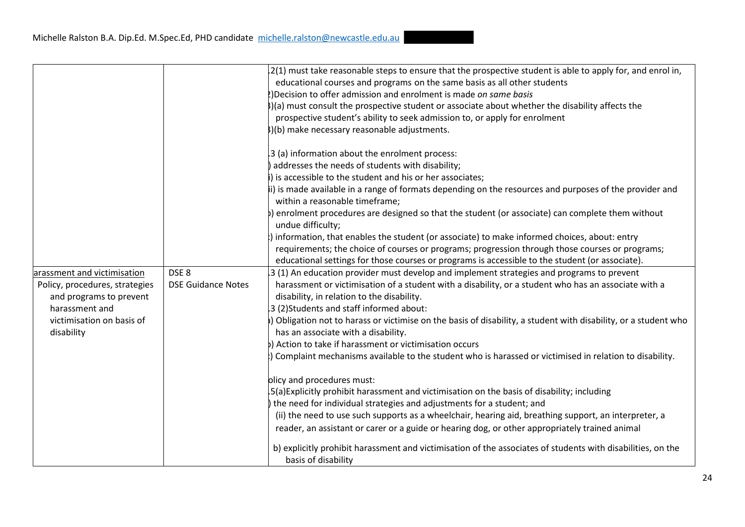|                                |                           | [2(1) must take reasonable steps to ensure that the prospective student is able to apply for, and enrol in,<br>educational courses and programs on the same basis as all other students |
|--------------------------------|---------------------------|-----------------------------------------------------------------------------------------------------------------------------------------------------------------------------------------|
|                                |                           | Decision to offer admission and enrolment is made on same basis                                                                                                                         |
|                                |                           | $\beta$ )(a) must consult the prospective student or associate about whether the disability affects the                                                                                 |
|                                |                           | prospective student's ability to seek admission to, or apply for enrolment                                                                                                              |
|                                |                           | (b) make necessary reasonable adjustments.                                                                                                                                              |
|                                |                           |                                                                                                                                                                                         |
|                                |                           | [3 (a) information about the enrolment process:                                                                                                                                         |
|                                |                           | addresses the needs of students with disability;                                                                                                                                        |
|                                |                           | i) is accessible to the student and his or her associates;                                                                                                                              |
|                                |                           | ii) is made available in a range of formats depending on the resources and purposes of the provider and<br>within a reasonable timeframe;                                               |
|                                |                           | $\flat$ ) enrolment procedures are designed so that the student (or associate) can complete them without<br>undue difficulty;                                                           |
|                                |                           | :) information, that enables the student (or associate) to make informed choices, about: entry                                                                                          |
|                                |                           | requirements; the choice of courses or programs; progression through those courses or programs;                                                                                         |
|                                |                           | educational settings for those courses or programs is accessible to the student (or associate).                                                                                         |
| arassment and victimisation    | DSE <sub>8</sub>          | 3 (1) An education provider must develop and implement strategies and programs to prevent                                                                                               |
| Policy, procedures, strategies | <b>DSE Guidance Notes</b> | harassment or victimisation of a student with a disability, or a student who has an associate with a                                                                                    |
| and programs to prevent        |                           | disability, in relation to the disability.                                                                                                                                              |
| harassment and                 |                           | .3 (2) Students and staff informed about:                                                                                                                                               |
| victimisation on basis of      |                           | ) Obligation not to harass or victimise on the basis of disability, a student with disability, or a student who                                                                         |
| disability                     |                           | has an associate with a disability.                                                                                                                                                     |
|                                |                           | b) Action to take if harassment or victimisation occurs                                                                                                                                 |
|                                |                           | .) Complaint mechanisms available to the student who is harassed or victimised in relation to disability.                                                                               |
|                                |                           | olicy and procedures must:                                                                                                                                                              |
|                                |                           | 5(a)Explicitly prohibit harassment and victimisation on the basis of disability; including                                                                                              |
|                                |                           | the need for individual strategies and adjustments for a student; and                                                                                                                   |
|                                |                           | (ii) the need to use such supports as a wheelchair, hearing aid, breathing support, an interpreter, a                                                                                   |
|                                |                           | reader, an assistant or carer or a guide or hearing dog, or other appropriately trained animal                                                                                          |
|                                |                           | b) explicitly prohibit harassment and victimisation of the associates of students with disabilities, on the<br>basis of disability                                                      |
|                                |                           |                                                                                                                                                                                         |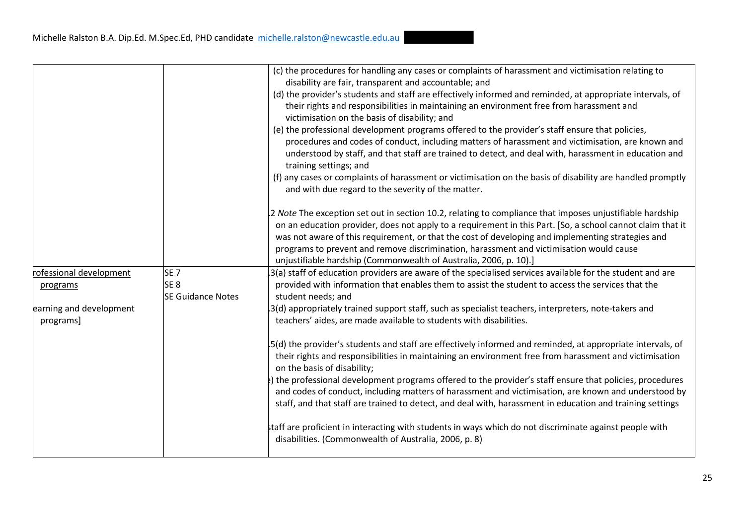|                         |                          | (c) the procedures for handling any cases or complaints of harassment and victimisation relating to<br>disability are fair, transparent and accountable; and                |
|-------------------------|--------------------------|-----------------------------------------------------------------------------------------------------------------------------------------------------------------------------|
|                         |                          | (d) the provider's students and staff are effectively informed and reminded, at appropriate intervals, of                                                                   |
|                         |                          | their rights and responsibilities in maintaining an environment free from harassment and                                                                                    |
|                         |                          | victimisation on the basis of disability; and                                                                                                                               |
|                         |                          | (e) the professional development programs offered to the provider's staff ensure that policies,                                                                             |
|                         |                          | procedures and codes of conduct, including matters of harassment and victimisation, are known and                                                                           |
|                         |                          | understood by staff, and that staff are trained to detect, and deal with, harassment in education and                                                                       |
|                         |                          | training settings; and                                                                                                                                                      |
|                         |                          | (f) any cases or complaints of harassment or victimisation on the basis of disability are handled promptly<br>and with due regard to the severity of the matter.            |
|                         |                          |                                                                                                                                                                             |
|                         |                          | 2 Note The exception set out in section 10.2, relating to compliance that imposes unjustifiable hardship                                                                    |
|                         |                          | on an education provider, does not apply to a requirement in this Part. [So, a school cannot claim that it                                                                  |
|                         |                          | was not aware of this requirement, or that the cost of developing and implementing strategies and                                                                           |
|                         |                          | programs to prevent and remove discrimination, harassment and victimisation would cause                                                                                     |
|                         |                          | unjustifiable hardship (Commonwealth of Australia, 2006, p. 10).]                                                                                                           |
| ofessional development  | SE <sub>7</sub>          | 3(a) staff of education providers are aware of the specialised services available for the student and are                                                                   |
| programs                | SE <sub>8</sub>          | provided with information that enables them to assist the student to access the services that the                                                                           |
|                         | <b>SE Guidance Notes</b> | student needs; and                                                                                                                                                          |
| earning and development |                          | [3(d) appropriately trained support staff, such as specialist teachers, interpreters, note-takers and<br>teachers' aides, are made available to students with disabilities. |
| programs]               |                          |                                                                                                                                                                             |
|                         |                          | [5(d) the provider's students and staff are effectively informed and reminded, at appropriate intervals, of                                                                 |
|                         |                          | their rights and responsibilities in maintaining an environment free from harassment and victimisation                                                                      |
|                         |                          | on the basis of disability;                                                                                                                                                 |
|                         |                          | $\frac{1}{2}$ ) the professional development programs offered to the provider's staff ensure that policies, procedures                                                      |
|                         |                          | and codes of conduct, including matters of harassment and victimisation, are known and understood by                                                                        |
|                         |                          | staff, and that staff are trained to detect, and deal with, harassment in education and training settings                                                                   |
|                         |                          | staff are proficient in interacting with students in ways which do not discriminate against people with<br>disabilities. (Commonwealth of Australia, 2006, p. 8)            |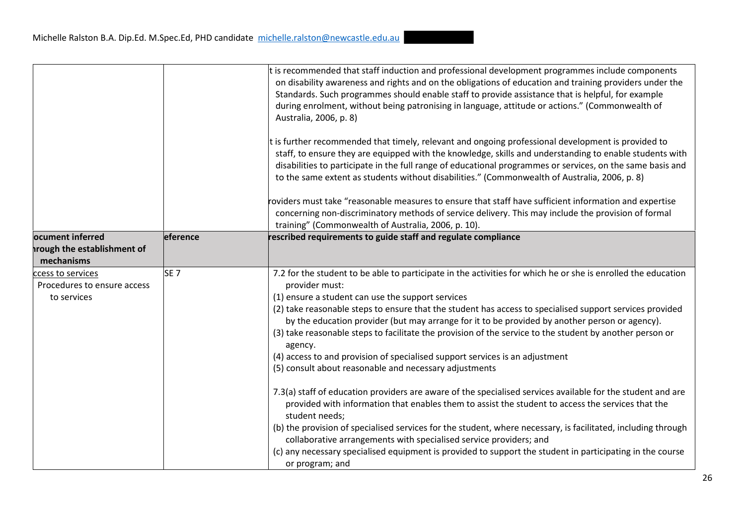|                                                  |                 | t is recommended that staff induction and professional development programmes include components<br>on disability awareness and rights and on the obligations of education and training providers under the<br>Standards. Such programmes should enable staff to provide assistance that is helpful, for example<br>during enrolment, without being patronising in language, attitude or actions." (Commonwealth of<br>Australia, 2006, p. 8)<br>t is further recommended that timely, relevant and ongoing professional development is provided to |
|--------------------------------------------------|-----------------|-----------------------------------------------------------------------------------------------------------------------------------------------------------------------------------------------------------------------------------------------------------------------------------------------------------------------------------------------------------------------------------------------------------------------------------------------------------------------------------------------------------------------------------------------------|
|                                                  |                 | staff, to ensure they are equipped with the knowledge, skills and understanding to enable students with<br>disabilities to participate in the full range of educational programmes or services, on the same basis and<br>to the same extent as students without disabilities." (Commonwealth of Australia, 2006, p. 8)                                                                                                                                                                                                                              |
|                                                  |                 | roviders must take "reasonable measures to ensure that staff have sufficient information and expertise<br>concerning non-discriminatory methods of service delivery. This may include the provision of formal<br>training" (Commonwealth of Australia, 2006, p. 10).                                                                                                                                                                                                                                                                                |
| ocument inferred                                 | eference        | rescribed requirements to guide staff and regulate compliance                                                                                                                                                                                                                                                                                                                                                                                                                                                                                       |
| prough the establishment of                      |                 |                                                                                                                                                                                                                                                                                                                                                                                                                                                                                                                                                     |
| mechanisms                                       |                 |                                                                                                                                                                                                                                                                                                                                                                                                                                                                                                                                                     |
| ccess to services<br>Procedures to ensure access | SE <sub>7</sub> | 7.2 for the student to be able to participate in the activities for which he or she is enrolled the education<br>provider must:                                                                                                                                                                                                                                                                                                                                                                                                                     |
| to services                                      |                 | (1) ensure a student can use the support services                                                                                                                                                                                                                                                                                                                                                                                                                                                                                                   |
|                                                  |                 | (2) take reasonable steps to ensure that the student has access to specialised support services provided<br>by the education provider (but may arrange for it to be provided by another person or agency).<br>(3) take reasonable steps to facilitate the provision of the service to the student by another person or<br>agency.<br>(4) access to and provision of specialised support services is an adjustment<br>(5) consult about reasonable and necessary adjustments                                                                         |
|                                                  |                 | 7.3(a) staff of education providers are aware of the specialised services available for the student and are<br>provided with information that enables them to assist the student to access the services that the<br>student needs;                                                                                                                                                                                                                                                                                                                  |
|                                                  |                 | (b) the provision of specialised services for the student, where necessary, is facilitated, including through                                                                                                                                                                                                                                                                                                                                                                                                                                       |
|                                                  |                 | collaborative arrangements with specialised service providers; and                                                                                                                                                                                                                                                                                                                                                                                                                                                                                  |
|                                                  |                 | (c) any necessary specialised equipment is provided to support the student in participating in the course<br>or program; and                                                                                                                                                                                                                                                                                                                                                                                                                        |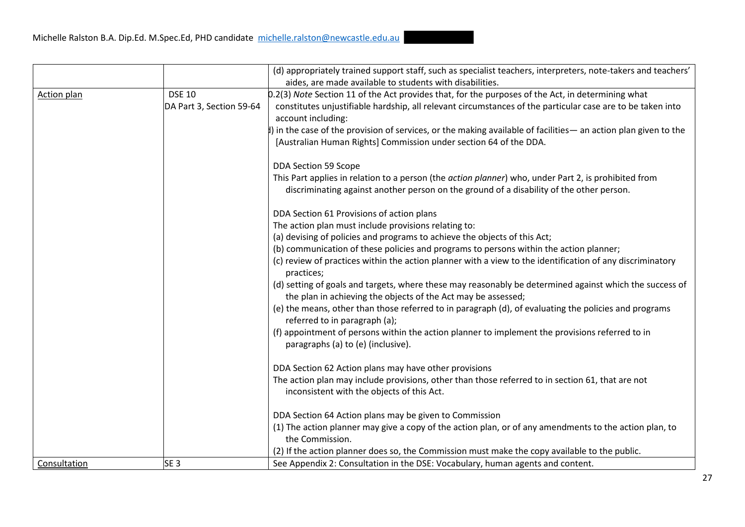|              |                          | (d) appropriately trained support staff, such as specialist teachers, interpreters, note-takers and teachers'                                                            |
|--------------|--------------------------|--------------------------------------------------------------------------------------------------------------------------------------------------------------------------|
|              |                          | aides, are made available to students with disabilities.                                                                                                                 |
| Action plan  | <b>DSE 10</b>            | 0.2(3) Note Section 11 of the Act provides that, for the purposes of the Act, in determining what                                                                        |
|              | DA Part 3, Section 59-64 | constitutes unjustifiable hardship, all relevant circumstances of the particular case are to be taken into<br>account including:                                         |
|              |                          | $\sharp$ ) in the case of the provision of services, or the making available of facilities— an action plan given to the                                                  |
|              |                          | [Australian Human Rights] Commission under section 64 of the DDA.                                                                                                        |
|              |                          | DDA Section 59 Scope                                                                                                                                                     |
|              |                          | This Part applies in relation to a person (the action planner) who, under Part 2, is prohibited from                                                                     |
|              |                          | discriminating against another person on the ground of a disability of the other person.                                                                                 |
|              |                          | DDA Section 61 Provisions of action plans                                                                                                                                |
|              |                          | The action plan must include provisions relating to:                                                                                                                     |
|              |                          | (a) devising of policies and programs to achieve the objects of this Act;                                                                                                |
|              |                          | (b) communication of these policies and programs to persons within the action planner;                                                                                   |
|              |                          | (c) review of practices within the action planner with a view to the identification of any discriminatory<br>practices;                                                  |
|              |                          | (d) setting of goals and targets, where these may reasonably be determined against which the success of<br>the plan in achieving the objects of the Act may be assessed; |
|              |                          | (e) the means, other than those referred to in paragraph (d), of evaluating the policies and programs<br>referred to in paragraph (a);                                   |
|              |                          | (f) appointment of persons within the action planner to implement the provisions referred to in                                                                          |
|              |                          | paragraphs (a) to (e) (inclusive).                                                                                                                                       |
|              |                          | DDA Section 62 Action plans may have other provisions                                                                                                                    |
|              |                          | The action plan may include provisions, other than those referred to in section 61, that are not<br>inconsistent with the objects of this Act.                           |
|              |                          | DDA Section 64 Action plans may be given to Commission                                                                                                                   |
|              |                          | (1) The action planner may give a copy of the action plan, or of any amendments to the action plan, to                                                                   |
|              |                          | the Commission.                                                                                                                                                          |
|              |                          | (2) If the action planner does so, the Commission must make the copy available to the public.                                                                            |
| Consultation | SE <sub>3</sub>          | See Appendix 2: Consultation in the DSE: Vocabulary, human agents and content.                                                                                           |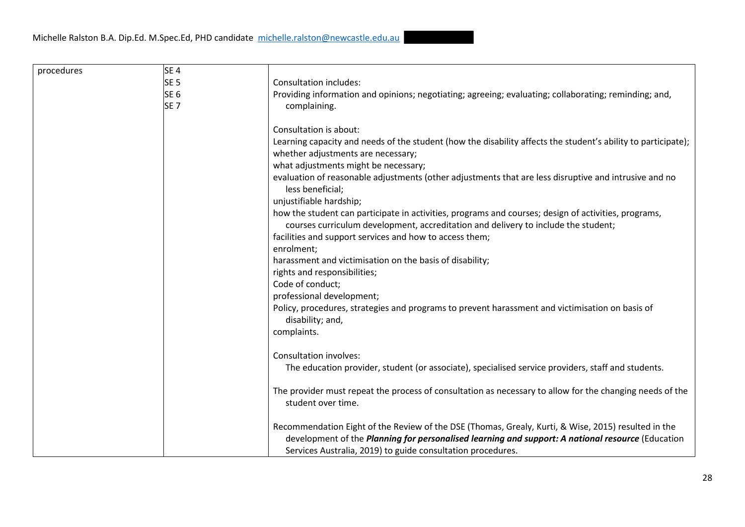| procedures | SE <sub>4</sub> |                                                                                                               |
|------------|-----------------|---------------------------------------------------------------------------------------------------------------|
|            | SE <sub>5</sub> | Consultation includes:                                                                                        |
|            | SE <sub>6</sub> | Providing information and opinions; negotiating; agreeing; evaluating; collaborating; reminding; and,         |
|            | SE <sub>7</sub> | complaining.                                                                                                  |
|            |                 |                                                                                                               |
|            |                 | Consultation is about:                                                                                        |
|            |                 | Learning capacity and needs of the student (how the disability affects the student's ability to participate); |
|            |                 | whether adjustments are necessary;                                                                            |
|            |                 | what adjustments might be necessary;                                                                          |
|            |                 | evaluation of reasonable adjustments (other adjustments that are less disruptive and intrusive and no         |
|            |                 | less beneficial;                                                                                              |
|            |                 | unjustifiable hardship;                                                                                       |
|            |                 | how the student can participate in activities, programs and courses; design of activities, programs,          |
|            |                 | courses curriculum development, accreditation and delivery to include the student;                            |
|            |                 | facilities and support services and how to access them;                                                       |
|            |                 | enrolment;                                                                                                    |
|            |                 | harassment and victimisation on the basis of disability;                                                      |
|            |                 | rights and responsibilities;                                                                                  |
|            |                 | Code of conduct;                                                                                              |
|            |                 | professional development;                                                                                     |
|            |                 | Policy, procedures, strategies and programs to prevent harassment and victimisation on basis of               |
|            |                 | disability; and,                                                                                              |
|            |                 | complaints.                                                                                                   |
|            |                 |                                                                                                               |
|            |                 | <b>Consultation involves:</b>                                                                                 |
|            |                 | The education provider, student (or associate), specialised service providers, staff and students.            |
|            |                 |                                                                                                               |
|            |                 | The provider must repeat the process of consultation as necessary to allow for the changing needs of the      |
|            |                 | student over time.                                                                                            |
|            |                 |                                                                                                               |
|            |                 | Recommendation Eight of the Review of the DSE (Thomas, Grealy, Kurti, & Wise, 2015) resulted in the           |
|            |                 | development of the <i>Planning for personalised learning and support: A national resource</i> (Education      |
|            |                 | Services Australia, 2019) to guide consultation procedures.                                                   |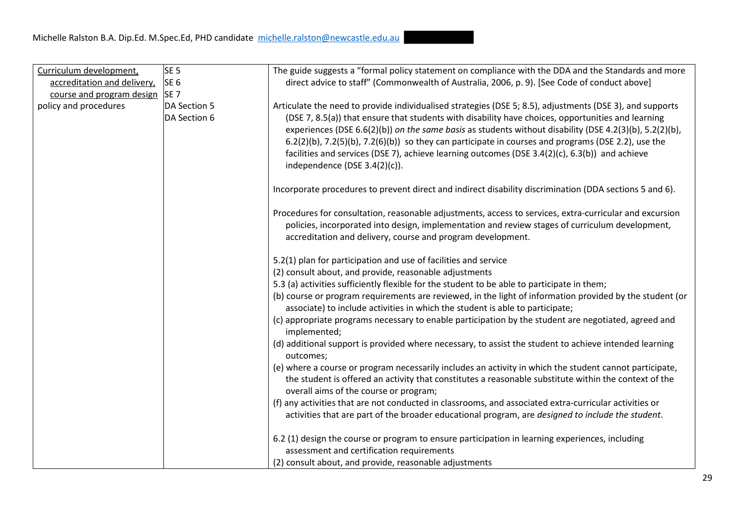| Curriculum development,     | SE <sub>5</sub>              | The guide suggests a "formal policy statement on compliance with the DDA and the Standards and more                                                                                                                                                                                                                                                                                                                                                                                                                                                                    |
|-----------------------------|------------------------------|------------------------------------------------------------------------------------------------------------------------------------------------------------------------------------------------------------------------------------------------------------------------------------------------------------------------------------------------------------------------------------------------------------------------------------------------------------------------------------------------------------------------------------------------------------------------|
| accreditation and delivery, | SE <sub>6</sub>              | direct advice to staff" (Commonwealth of Australia, 2006, p. 9). [See Code of conduct above]                                                                                                                                                                                                                                                                                                                                                                                                                                                                           |
| course and program design   | SE <sub>7</sub>              |                                                                                                                                                                                                                                                                                                                                                                                                                                                                                                                                                                        |
| policy and procedures       | DA Section 5<br>DA Section 6 | Articulate the need to provide individualised strategies (DSE 5; 8.5), adjustments (DSE 3), and supports<br>(DSE 7, 8.5(a)) that ensure that students with disability have choices, opportunities and learning<br>experiences (DSE 6.6(2)(b)) on the same basis as students without disability (DSE 4.2(3)(b), 5.2(2)(b),<br>6.2(2)(b), 7.2(5)(b), 7.2(6)(b)) so they can participate in courses and programs (DSE 2.2), use the<br>facilities and services (DSE 7), achieve learning outcomes (DSE 3.4(2)(c), 6.3(b)) and achieve<br>independence (DSE $3.4(2)(c)$ ). |
|                             |                              | Incorporate procedures to prevent direct and indirect disability discrimination (DDA sections 5 and 6).                                                                                                                                                                                                                                                                                                                                                                                                                                                                |
|                             |                              | Procedures for consultation, reasonable adjustments, access to services, extra-curricular and excursion<br>policies, incorporated into design, implementation and review stages of curriculum development,<br>accreditation and delivery, course and program development.                                                                                                                                                                                                                                                                                              |
|                             |                              | 5.2(1) plan for participation and use of facilities and service                                                                                                                                                                                                                                                                                                                                                                                                                                                                                                        |
|                             |                              | (2) consult about, and provide, reasonable adjustments                                                                                                                                                                                                                                                                                                                                                                                                                                                                                                                 |
|                             |                              | 5.3 (a) activities sufficiently flexible for the student to be able to participate in them;                                                                                                                                                                                                                                                                                                                                                                                                                                                                            |
|                             |                              | (b) course or program requirements are reviewed, in the light of information provided by the student (or<br>associate) to include activities in which the student is able to participate;                                                                                                                                                                                                                                                                                                                                                                              |
|                             |                              | (c) appropriate programs necessary to enable participation by the student are negotiated, agreed and<br>implemented;                                                                                                                                                                                                                                                                                                                                                                                                                                                   |
|                             |                              | (d) additional support is provided where necessary, to assist the student to achieve intended learning<br>outcomes;                                                                                                                                                                                                                                                                                                                                                                                                                                                    |
|                             |                              | (e) where a course or program necessarily includes an activity in which the student cannot participate,<br>the student is offered an activity that constitutes a reasonable substitute within the context of the<br>overall aims of the course or program;                                                                                                                                                                                                                                                                                                             |
|                             |                              | (f) any activities that are not conducted in classrooms, and associated extra-curricular activities or<br>activities that are part of the broader educational program, are designed to include the student.                                                                                                                                                                                                                                                                                                                                                            |
|                             |                              | 6.2 (1) design the course or program to ensure participation in learning experiences, including<br>assessment and certification requirements                                                                                                                                                                                                                                                                                                                                                                                                                           |
|                             |                              | (2) consult about, and provide, reasonable adjustments                                                                                                                                                                                                                                                                                                                                                                                                                                                                                                                 |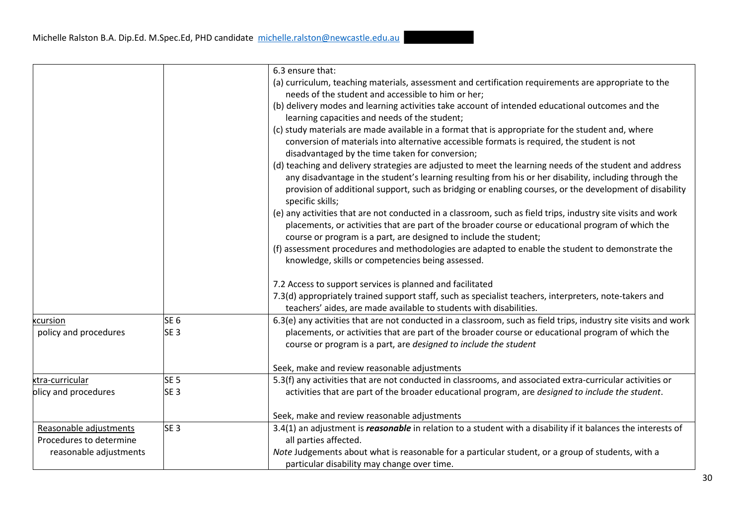|                         |                 | 6.3 ensure that:                                                                                                                                                                                                                                                                                                                                 |
|-------------------------|-----------------|--------------------------------------------------------------------------------------------------------------------------------------------------------------------------------------------------------------------------------------------------------------------------------------------------------------------------------------------------|
|                         |                 | (a) curriculum, teaching materials, assessment and certification requirements are appropriate to the<br>needs of the student and accessible to him or her;                                                                                                                                                                                       |
|                         |                 | (b) delivery modes and learning activities take account of intended educational outcomes and the                                                                                                                                                                                                                                                 |
|                         |                 | learning capacities and needs of the student;                                                                                                                                                                                                                                                                                                    |
|                         |                 | (c) study materials are made available in a format that is appropriate for the student and, where<br>conversion of materials into alternative accessible formats is required, the student is not<br>disadvantaged by the time taken for conversion;                                                                                              |
|                         |                 | (d) teaching and delivery strategies are adjusted to meet the learning needs of the student and address<br>any disadvantage in the student's learning resulting from his or her disability, including through the<br>provision of additional support, such as bridging or enabling courses, or the development of disability<br>specific skills; |
|                         |                 | (e) any activities that are not conducted in a classroom, such as field trips, industry site visits and work<br>placements, or activities that are part of the broader course or educational program of which the<br>course or program is a part, are designed to include the student;                                                           |
|                         |                 | (f) assessment procedures and methodologies are adapted to enable the student to demonstrate the                                                                                                                                                                                                                                                 |
|                         |                 | knowledge, skills or competencies being assessed.                                                                                                                                                                                                                                                                                                |
|                         |                 | 7.2 Access to support services is planned and facilitated                                                                                                                                                                                                                                                                                        |
|                         |                 | 7.3(d) appropriately trained support staff, such as specialist teachers, interpreters, note-takers and<br>teachers' aides, are made available to students with disabilities.                                                                                                                                                                     |
| xcursion                | SE <sub>6</sub> | 6.3(e) any activities that are not conducted in a classroom, such as field trips, industry site visits and work                                                                                                                                                                                                                                  |
| policy and procedures   | SE <sub>3</sub> | placements, or activities that are part of the broader course or educational program of which the                                                                                                                                                                                                                                                |
|                         |                 | course or program is a part, are designed to include the student                                                                                                                                                                                                                                                                                 |
|                         |                 | Seek, make and review reasonable adjustments                                                                                                                                                                                                                                                                                                     |
| xtra-curricular         | SE <sub>5</sub> | 5.3(f) any activities that are not conducted in classrooms, and associated extra-curricular activities or                                                                                                                                                                                                                                        |
| olicy and procedures    | SE <sub>3</sub> | activities that are part of the broader educational program, are designed to include the student.                                                                                                                                                                                                                                                |
|                         |                 | Seek, make and review reasonable adjustments                                                                                                                                                                                                                                                                                                     |
| Reasonable adjustments  | SE <sub>3</sub> | 3.4(1) an adjustment is <i>reasonable</i> in relation to a student with a disability if it balances the interests of                                                                                                                                                                                                                             |
| Procedures to determine |                 | all parties affected.                                                                                                                                                                                                                                                                                                                            |
| reasonable adjustments  |                 | Note Judgements about what is reasonable for a particular student, or a group of students, with a                                                                                                                                                                                                                                                |
|                         |                 | particular disability may change over time.                                                                                                                                                                                                                                                                                                      |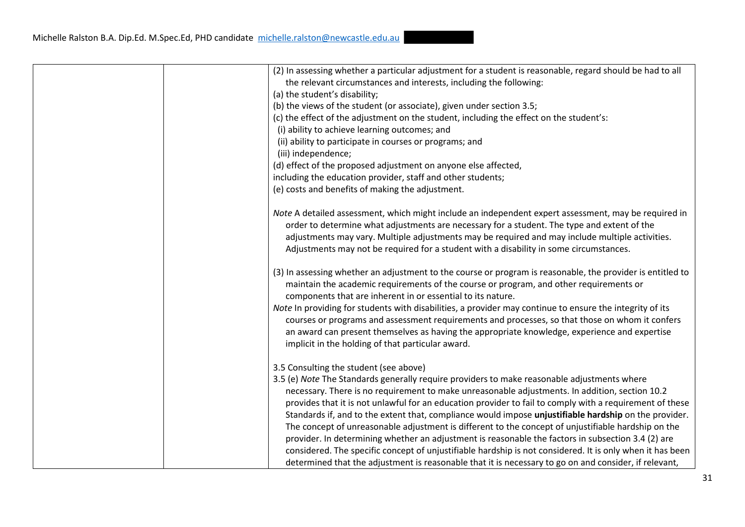| (2) In assessing whether a particular adjustment for a student is reasonable, regard should be had to all  |
|------------------------------------------------------------------------------------------------------------|
| the relevant circumstances and interests, including the following:                                         |
| (a) the student's disability;                                                                              |
| (b) the views of the student (or associate), given under section 3.5;                                      |
| (c) the effect of the adjustment on the student, including the effect on the student's:                    |
| (i) ability to achieve learning outcomes; and                                                              |
| (ii) ability to participate in courses or programs; and                                                    |
| (iii) independence;                                                                                        |
| (d) effect of the proposed adjustment on anyone else affected,                                             |
| including the education provider, staff and other students;                                                |
| (e) costs and benefits of making the adjustment.                                                           |
|                                                                                                            |
| Note A detailed assessment, which might include an independent expert assessment, may be required in       |
| order to determine what adjustments are necessary for a student. The type and extent of the                |
| adjustments may vary. Multiple adjustments may be required and may include multiple activities.            |
| Adjustments may not be required for a student with a disability in some circumstances.                     |
|                                                                                                            |
| (3) In assessing whether an adjustment to the course or program is reasonable, the provider is entitled to |
| maintain the academic requirements of the course or program, and other requirements or                     |
| components that are inherent in or essential to its nature.                                                |
| Note In providing for students with disabilities, a provider may continue to ensure the integrity of its   |
| courses or programs and assessment requirements and processes, so that those on whom it confers            |
| an award can present themselves as having the appropriate knowledge, experience and expertise              |
| implicit in the holding of that particular award.                                                          |
|                                                                                                            |
| 3.5 Consulting the student (see above)                                                                     |
| 3.5 (e) Note The Standards generally require providers to make reasonable adjustments where                |
| necessary. There is no requirement to make unreasonable adjustments. In addition, section 10.2             |
| provides that it is not unlawful for an education provider to fail to comply with a requirement of these   |
| Standards if, and to the extent that, compliance would impose unjustifiable hardship on the provider.      |
| The concept of unreasonable adjustment is different to the concept of unjustifiable hardship on the        |
| provider. In determining whether an adjustment is reasonable the factors in subsection 3.4 (2) are         |
| considered. The specific concept of unjustifiable hardship is not considered. It is only when it has been  |
| determined that the adjustment is reasonable that it is necessary to go on and consider, if relevant,      |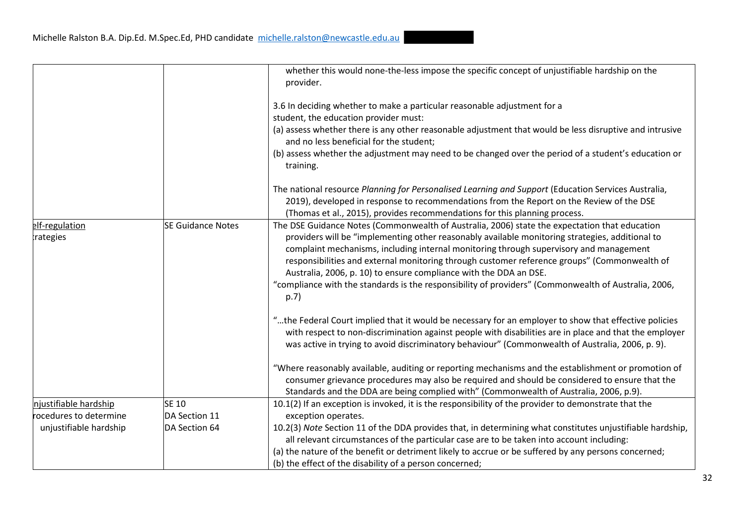|                                                 |                               | whether this would none-the-less impose the specific concept of unjustifiable hardship on the<br>provider.                                                                                                                                                                                                                                                                                                                                                                                                                                                                      |
|-------------------------------------------------|-------------------------------|---------------------------------------------------------------------------------------------------------------------------------------------------------------------------------------------------------------------------------------------------------------------------------------------------------------------------------------------------------------------------------------------------------------------------------------------------------------------------------------------------------------------------------------------------------------------------------|
|                                                 |                               | 3.6 In deciding whether to make a particular reasonable adjustment for a<br>student, the education provider must:                                                                                                                                                                                                                                                                                                                                                                                                                                                               |
|                                                 |                               | (a) assess whether there is any other reasonable adjustment that would be less disruptive and intrusive<br>and no less beneficial for the student;                                                                                                                                                                                                                                                                                                                                                                                                                              |
|                                                 |                               | (b) assess whether the adjustment may need to be changed over the period of a student's education or<br>training.                                                                                                                                                                                                                                                                                                                                                                                                                                                               |
|                                                 |                               | The national resource Planning for Personalised Learning and Support (Education Services Australia,<br>2019), developed in response to recommendations from the Report on the Review of the DSE<br>(Thomas et al., 2015), provides recommendations for this planning process.                                                                                                                                                                                                                                                                                                   |
| elf-regulation<br>rategies                      | <b>SE Guidance Notes</b>      | The DSE Guidance Notes (Commonwealth of Australia, 2006) state the expectation that education<br>providers will be "implementing other reasonably available monitoring strategies, additional to<br>complaint mechanisms, including internal monitoring through supervisory and management<br>responsibilities and external monitoring through customer reference groups" (Commonwealth of<br>Australia, 2006, p. 10) to ensure compliance with the DDA an DSE.<br>"compliance with the standards is the responsibility of providers" (Commonwealth of Australia, 2006,<br>p.7) |
|                                                 |                               | the Federal Court implied that it would be necessary for an employer to show that effective policies"<br>with respect to non-discrimination against people with disabilities are in place and that the employer<br>was active in trying to avoid discriminatory behaviour" (Commonwealth of Australia, 2006, p. 9).                                                                                                                                                                                                                                                             |
|                                                 |                               | "Where reasonably available, auditing or reporting mechanisms and the establishment or promotion of<br>consumer grievance procedures may also be required and should be considered to ensure that the<br>Standards and the DDA are being complied with" (Commonwealth of Australia, 2006, p.9).                                                                                                                                                                                                                                                                                 |
| njustifiable hardship<br>rocedures to determine | <b>SE 10</b><br>DA Section 11 | 10.1(2) If an exception is invoked, it is the responsibility of the provider to demonstrate that the<br>exception operates.                                                                                                                                                                                                                                                                                                                                                                                                                                                     |
| unjustifiable hardship                          | DA Section 64                 | 10.2(3) Note Section 11 of the DDA provides that, in determining what constitutes unjustifiable hardship,<br>all relevant circumstances of the particular case are to be taken into account including:<br>(a) the nature of the benefit or detriment likely to accrue or be suffered by any persons concerned;<br>(b) the effect of the disability of a person concerned;                                                                                                                                                                                                       |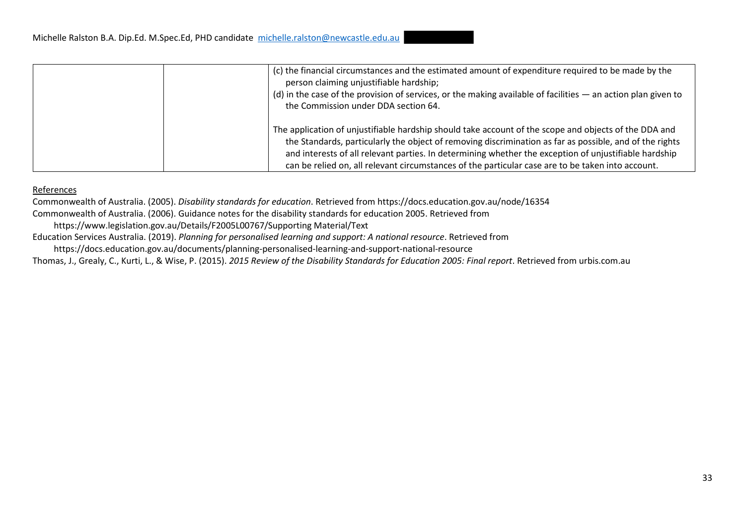| (c) the financial circumstances and the estimated amount of expenditure required to be made by the<br>person claiming unjustifiable hardship;<br>(d) in the case of the provision of services, or the making available of facilities $-$ an action plan given to<br>the Commission under DDA section 64.                                                                                                                       |
|--------------------------------------------------------------------------------------------------------------------------------------------------------------------------------------------------------------------------------------------------------------------------------------------------------------------------------------------------------------------------------------------------------------------------------|
| The application of unjustifiable hardship should take account of the scope and objects of the DDA and<br>the Standards, particularly the object of removing discrimination as far as possible, and of the rights<br>and interests of all relevant parties. In determining whether the exception of unjustifiable hardship<br>can be relied on, all relevant circumstances of the particular case are to be taken into account. |

References

Commonwealth of Australia. (2005). *Disability standards for education*. Retrieved from https://docs.education.gov.au/node/16354

Commonwealth of Australia. (2006). Guidance notes for the disability standards for education 2005. Retrieved from

https://www.legislation.gov.au/Details/F2005L00767/Supporting Material/Text

Education Services Australia. (2019). *Planning for personalised learning and support: A national resource*. Retrieved from

https://docs.education.gov.au/documents/planning-personalised-learning-and-support-national-resource

Thomas, J., Grealy, C., Kurti, L., & Wise, P. (2015). *2015 Review of the Disability Standards for Education 2005: Final report*. Retrieved from urbis.com.au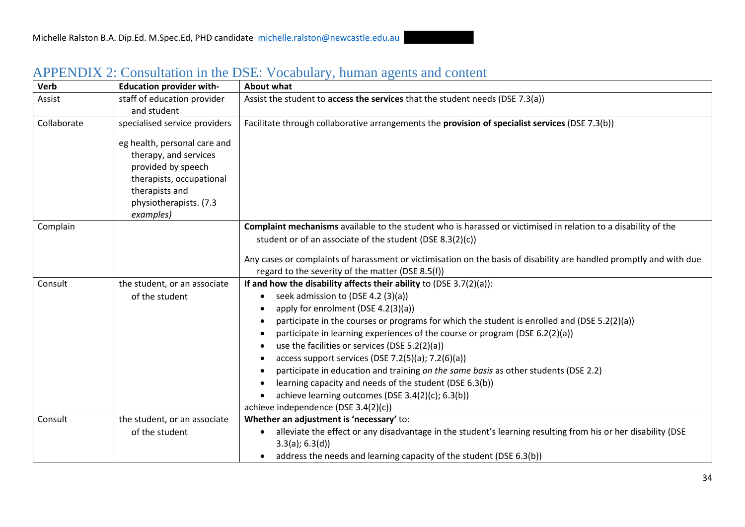| Verb        | <b>Education provider with-</b>                       | <b>About what</b>                                                                                                                                                        |
|-------------|-------------------------------------------------------|--------------------------------------------------------------------------------------------------------------------------------------------------------------------------|
| Assist      | staff of education provider<br>and student            | Assist the student to access the services that the student needs (DSE 7.3(a))                                                                                            |
| Collaborate | specialised service providers                         | Facilitate through collaborative arrangements the provision of specialist services (DSE 7.3(b))                                                                          |
|             |                                                       |                                                                                                                                                                          |
|             | eg health, personal care and<br>therapy, and services |                                                                                                                                                                          |
|             | provided by speech                                    |                                                                                                                                                                          |
|             | therapists, occupational                              |                                                                                                                                                                          |
|             | therapists and                                        |                                                                                                                                                                          |
|             | physiotherapists. (7.3                                |                                                                                                                                                                          |
|             | examples)                                             |                                                                                                                                                                          |
| Complain    |                                                       | Complaint mechanisms available to the student who is harassed or victimised in relation to a disability of the                                                           |
|             |                                                       | student or of an associate of the student (DSE 8.3(2)(c))                                                                                                                |
|             |                                                       |                                                                                                                                                                          |
|             |                                                       | Any cases or complaints of harassment or victimisation on the basis of disability are handled promptly and with due<br>regard to the severity of the matter (DSE 8.5(f)) |
| Consult     | the student, or an associate                          | If and how the disability affects their ability to (DSE $3.7(2)(a)$ ):                                                                                                   |
|             | of the student                                        | seek admission to (DSE 4.2 (3)(a))<br>$\bullet$                                                                                                                          |
|             |                                                       | apply for enrolment (DSE 4.2(3)(a))                                                                                                                                      |
|             |                                                       | participate in the courses or programs for which the student is enrolled and (DSE 5.2(2)(a))<br>$\bullet$                                                                |
|             |                                                       | participate in learning experiences of the course or program (DSE 6.2(2)(a))<br>$\bullet$                                                                                |
|             |                                                       | use the facilities or services (DSE 5.2(2)(a))                                                                                                                           |
|             |                                                       | $\bullet$<br>access support services (DSE 7.2(5)(a); $7.2(6)(a)$ )                                                                                                       |
|             |                                                       | participate in education and training on the same basis as other students (DSE 2.2)                                                                                      |
|             |                                                       | learning capacity and needs of the student (DSE 6.3(b))<br>$\bullet$                                                                                                     |
|             |                                                       | achieve learning outcomes (DSE 3.4(2)(c); 6.3(b))                                                                                                                        |
|             |                                                       | achieve independence (DSE 3.4(2)(c))                                                                                                                                     |
| Consult     | the student, or an associate                          | Whether an adjustment is 'necessary' to:                                                                                                                                 |
|             | of the student                                        | alleviate the effect or any disadvantage in the student's learning resulting from his or her disability (DSE                                                             |
|             |                                                       | $3.3(a)$ ; 6.3(d))                                                                                                                                                       |
|             |                                                       | address the needs and learning capacity of the student (DSE 6.3(b))                                                                                                      |

# APPENDIX 2: Consultation in the DSE: Vocabulary, human agents and content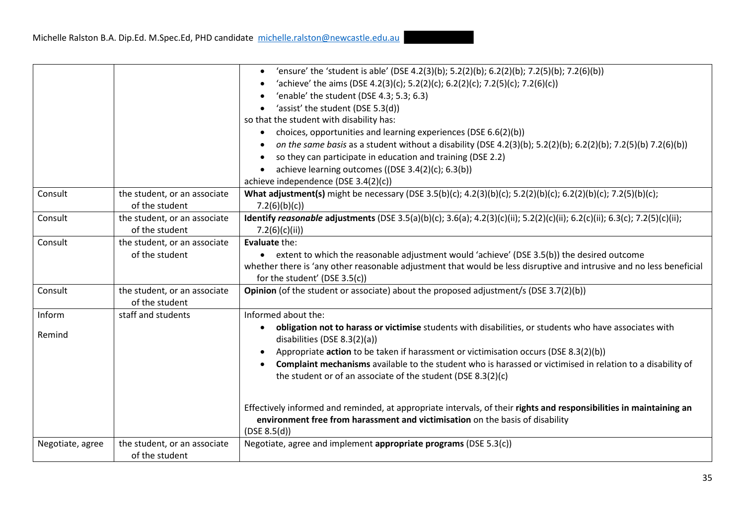|                  |                                                | 'ensure' the 'student is able' (DSE 4.2(3)(b); 5.2(2)(b); 6.2(2)(b); 7.2(5)(b); 7.2(6)(b))<br>$\bullet$                                                                                              |
|------------------|------------------------------------------------|------------------------------------------------------------------------------------------------------------------------------------------------------------------------------------------------------|
|                  |                                                | 'achieve' the aims (DSE 4.2(3)(c); 5.2(2)(c); 6.2(2)(c); 7.2(5)(c); 7.2(6)(c))                                                                                                                       |
|                  |                                                | 'enable' the student (DSE 4.3; 5.3; 6.3)                                                                                                                                                             |
|                  |                                                | 'assist' the student (DSE 5.3(d))                                                                                                                                                                    |
|                  |                                                | so that the student with disability has:                                                                                                                                                             |
|                  |                                                | choices, opportunities and learning experiences (DSE 6.6(2)(b))<br>$\bullet$                                                                                                                         |
|                  |                                                | on the same basis as a student without a disability (DSE 4.2(3)(b); 5.2(2)(b); 6.2(2)(b); 7.2(5)(b) 7.2(6)(b))                                                                                       |
|                  |                                                | so they can participate in education and training (DSE 2.2)                                                                                                                                          |
|                  |                                                | achieve learning outcomes ((DSE 3.4(2)(c); 6.3(b))                                                                                                                                                   |
|                  |                                                | achieve independence (DSE 3.4(2)(c))                                                                                                                                                                 |
| Consult          | the student, or an associate                   | What adjustment(s) might be necessary (DSE 3.5(b)(c); 4.2(3)(b)(c); 5.2(2)(b)(c); 6.2(2)(b)(c); 7.2(5)(b)(c);                                                                                        |
|                  | of the student                                 | 7.2(6)(b)(c)                                                                                                                                                                                         |
| Consult          | the student, or an associate                   | Identify reasonable adjustments (DSE 3.5(a)(b)(c); 3.6(a); 4.2(3)(c)(ii); 5.2(2)(c)(ii); 6.2(c)(ii); 6.3(c); 7.2(5)(c)(ii);                                                                          |
|                  | of the student                                 | 7.2(6)(c)(ii)                                                                                                                                                                                        |
| Consult          | the student, or an associate                   | <b>Evaluate the:</b>                                                                                                                                                                                 |
|                  | of the student                                 | • extent to which the reasonable adjustment would 'achieve' (DSE 3.5(b)) the desired outcome                                                                                                         |
|                  |                                                | whether there is 'any other reasonable adjustment that would be less disruptive and intrusive and no less beneficial                                                                                 |
|                  |                                                | for the student' (DSE 3.5(c))                                                                                                                                                                        |
| Consult          | the student, or an associate<br>of the student | Opinion (of the student or associate) about the proposed adjustment/s (DSE 3.7(2)(b))                                                                                                                |
| Inform           | staff and students                             | Informed about the:                                                                                                                                                                                  |
| Remind           |                                                | obligation not to harass or victimise students with disabilities, or students who have associates with<br>$\bullet$<br>disabilities (DSE 8.3(2)(a))                                                  |
|                  |                                                | Appropriate action to be taken if harassment or victimisation occurs (DSE 8.3(2)(b))                                                                                                                 |
|                  |                                                | Complaint mechanisms available to the student who is harassed or victimised in relation to a disability of                                                                                           |
|                  |                                                | the student or of an associate of the student (DSE 8.3(2)(c)                                                                                                                                         |
|                  |                                                |                                                                                                                                                                                                      |
|                  |                                                |                                                                                                                                                                                                      |
|                  |                                                | Effectively informed and reminded, at appropriate intervals, of their rights and responsibilities in maintaining an<br>environment free from harassment and victimisation on the basis of disability |
|                  |                                                | (DSE 8.5(d))                                                                                                                                                                                         |
| Negotiate, agree | the student, or an associate                   | Negotiate, agree and implement appropriate programs (DSE 5.3(c))                                                                                                                                     |
|                  | of the student                                 |                                                                                                                                                                                                      |
|                  |                                                |                                                                                                                                                                                                      |